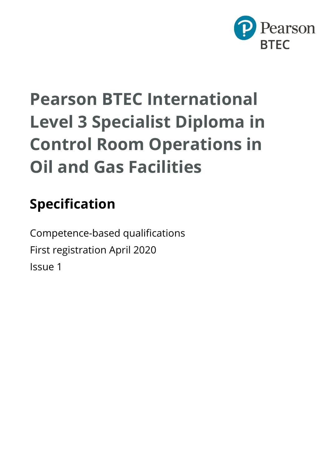

# **Pearson BTEC International Level 3 Specialist Diploma in Control Room Operations in Oil and Gas Facilities**

# **Specification**

Competence-based qualifications First registration April 2020 Issue 1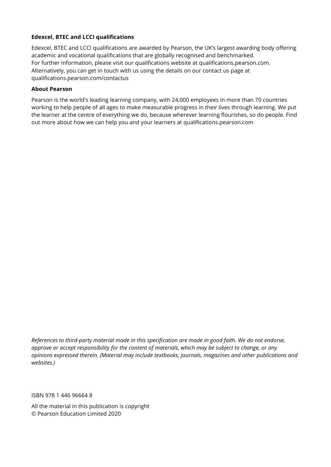#### **Edexcel, BTEC and LCCI qualifications**

Edexcel, BTEC and LCCI qualifications are awarded by Pearson, the UK's largest awarding body offering academic and vocational qualifications that are globally recognised and benchmarked. For further information, please visit our qualifications website at qualifications.pearson.com. Alternatively, you can get in touch with us using the details on our contact us page at qualifications.pearson.com/contactus

#### **About Pearson**

Pearson is the world's leading learning company, with 24,000 employees in more than 70 countries working to help people of all ages to make measurable progress in their lives through learning. We put the learner at the centre of everything we do, because wherever learning flourishes, so do people. Find out more about how we can help you and your learners at qualifications.pearson.com

*References to third-party material made in this specification are made in good faith. We do not endorse, approve or accept responsibility for the content of materials, which may be subject to change, or any opinions expressed therein. (Material may include textbooks, journals, magazines and other publications and websites.)*

ISBN 978 1 446 96664 8

All the material in this publication is copyright © Pearson Education Limited 2020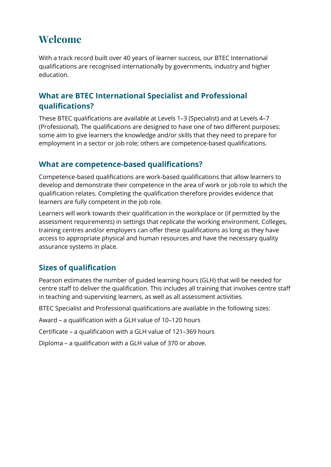# **Welcome**

With a track record built over 40 years of learner success, our BTEC International qualifications are recognised internationally by governments, industry and higher education.

# **What are BTEC International Specialist and Professional qualifications?**

These BTEC qualifications are available at Levels 1–3 (Specialist) and at Levels 4–7 (Professional). The qualifications are designed to have one of two different purposes: some aim to give learners the knowledge and/or skills that they need to prepare for employment in a sector or job role; others are competence-based qualifications.

# **What are competence-based qualifications?**

Competence-based qualifications are work-based qualifications that allow learners to develop and demonstrate their competence in the area of work or job role to which the qualification relates. Completing the qualification therefore provides evidence that learners are fully competent in the job role.

Learners will work towards their qualification in the workplace or (if permitted by the assessment requirements) in settings that replicate the working environment. Colleges, training centres and/or employers can offer these qualifications as long as they have access to appropriate physical and human resources and have the necessary quality assurance systems in place.

# **Sizes of qualification**

Pearson estimates the number of guided learning hours (GLH) that will be needed for centre staff to deliver the qualification. This includes all training that involves centre staff in teaching and supervising learners, as well as all assessment activities.

BTEC Specialist and Professional qualifications are available in the following sizes:

Award – a qualification with a GLH value of 10–120 hours

Certificate – a qualification with a GLH value of 121–369 hours

Diploma – a qualification with a GLH value of 370 or above.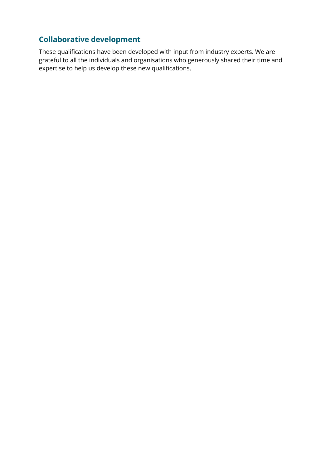# **Collaborative development**

These qualifications have been developed with input from industry experts. We are grateful to all the individuals and organisations who generously shared their time and expertise to help us develop these new qualifications.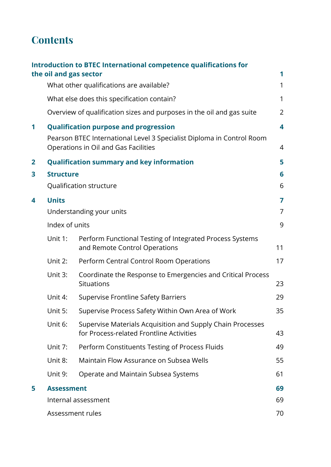# **Contents**

|                |                                                                                                                   | Introduction to BTEC International competence qualifications for                                              |                         |  |  |  |
|----------------|-------------------------------------------------------------------------------------------------------------------|---------------------------------------------------------------------------------------------------------------|-------------------------|--|--|--|
|                | the oil and gas sector                                                                                            |                                                                                                               | 1                       |  |  |  |
|                |                                                                                                                   | What other qualifications are available?                                                                      | $\mathbf{1}$            |  |  |  |
|                |                                                                                                                   | What else does this specification contain?                                                                    | $\mathbf{1}$            |  |  |  |
|                |                                                                                                                   | Overview of qualification sizes and purposes in the oil and gas suite                                         | $\overline{2}$          |  |  |  |
| 1              |                                                                                                                   | <b>Qualification purpose and progression</b>                                                                  | $\overline{\mathbf{4}}$ |  |  |  |
|                |                                                                                                                   | Pearson BTEC International Level 3 Specialist Diploma in Control Room<br>Operations in Oil and Gas Facilities | 4                       |  |  |  |
| $\overline{2}$ |                                                                                                                   | <b>Qualification summary and key information</b>                                                              | 5                       |  |  |  |
| 3              | <b>Structure</b>                                                                                                  |                                                                                                               | 6                       |  |  |  |
|                |                                                                                                                   | Qualification structure                                                                                       | 6                       |  |  |  |
| 4              | <b>Units</b>                                                                                                      |                                                                                                               | 7                       |  |  |  |
|                | Understanding your units                                                                                          |                                                                                                               |                         |  |  |  |
|                | Index of units                                                                                                    |                                                                                                               |                         |  |  |  |
|                | Unit 1:                                                                                                           | Perform Functional Testing of Integrated Process Systems<br>and Remote Control Operations                     | 11                      |  |  |  |
|                | Unit 2:                                                                                                           | Perform Central Control Room Operations                                                                       | 17                      |  |  |  |
|                | Unit 3:                                                                                                           | Coordinate the Response to Emergencies and Critical Process<br><b>Situations</b>                              | 23                      |  |  |  |
|                | Unit 4:                                                                                                           | <b>Supervise Frontline Safety Barriers</b>                                                                    | 29                      |  |  |  |
|                | Unit 5:                                                                                                           | Supervise Process Safety Within Own Area of Work                                                              | 35                      |  |  |  |
|                | Unit 6:<br>Supervise Materials Acquisition and Supply Chain Processes<br>for Process-related Frontline Activities |                                                                                                               | 43                      |  |  |  |
|                | Unit 7:                                                                                                           | Perform Constituents Testing of Process Fluids                                                                | 49                      |  |  |  |
|                | Unit 8:                                                                                                           | Maintain Flow Assurance on Subsea Wells                                                                       | 55                      |  |  |  |
|                | Unit 9:                                                                                                           | Operate and Maintain Subsea Systems                                                                           | 61                      |  |  |  |
| 5              | <b>Assessment</b>                                                                                                 |                                                                                                               | 69                      |  |  |  |
|                |                                                                                                                   | Internal assessment                                                                                           | 69                      |  |  |  |
|                | Assessment rules                                                                                                  |                                                                                                               |                         |  |  |  |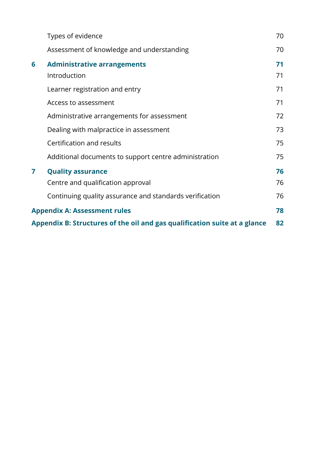|                                                                                 | Types of evidence                                       | 70 |  |
|---------------------------------------------------------------------------------|---------------------------------------------------------|----|--|
|                                                                                 | Assessment of knowledge and understanding               | 70 |  |
| 6                                                                               | <b>Administrative arrangements</b>                      | 71 |  |
|                                                                                 | Introduction                                            | 71 |  |
|                                                                                 | Learner registration and entry                          | 71 |  |
|                                                                                 | Access to assessment                                    | 71 |  |
|                                                                                 | Administrative arrangements for assessment              | 72 |  |
|                                                                                 | Dealing with malpractice in assessment                  | 73 |  |
|                                                                                 | Certification and results                               | 75 |  |
|                                                                                 | Additional documents to support centre administration   | 75 |  |
| 7                                                                               | <b>Quality assurance</b>                                | 76 |  |
|                                                                                 | Centre and qualification approval                       | 76 |  |
|                                                                                 | Continuing quality assurance and standards verification | 76 |  |
|                                                                                 | <b>Appendix A: Assessment rules</b>                     |    |  |
| Appendix B: Structures of the oil and gas qualification suite at a glance<br>82 |                                                         |    |  |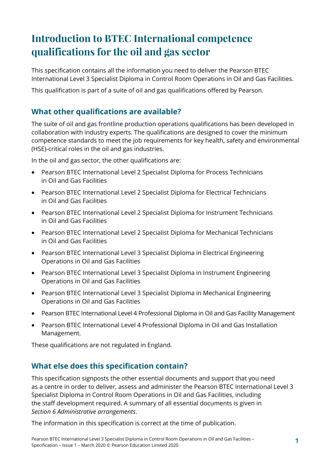# <span id="page-6-0"></span>**Introduction to BTEC International competence qualifications for the oil and gas sector**

This specification contains all the information you need to deliver the Pearson BTEC International Level 3 Specialist Diploma in Control Room Operations in Oil and Gas Facilities.

<span id="page-6-1"></span>This qualification is part of a suite of oil and gas qualifications offered by Pearson.

# **What other qualifications are available?**

The suite of oil and gas frontline production operations qualifications has been developed in collaboration with industry experts. The qualifications are designed to cover the minimum competence standards to meet the job requirements for key health, safety and environmental (HSE)-critical roles in the oil and gas industries.

In the oil and gas sector, the other qualifications are:

- Pearson BTEC International Level 2 Specialist Diploma for Process Technicians in Oil and Gas Facilities
- Pearson BTEC International Level 2 Specialist Diploma for Electrical Technicians in Oil and Gas Facilities
- Pearson BTEC International Level 2 Specialist Diploma for Instrument Technicians in Oil and Gas Facilities
- Pearson BTEC International Level 2 Specialist Diploma for Mechanical Technicians in Oil and Gas Facilities
- Pearson BTEC International Level 3 Specialist Diploma in Electrical Engineering Operations in Oil and Gas Facilities
- Pearson BTEC International Level 3 Specialist Diploma in Instrument Engineering Operations in Oil and Gas Facilities
- Pearson BTEC International Level 3 Specialist Diploma in Mechanical Engineering Operations in Oil and Gas Facilities
- Pearson BTEC International Level 4 Professional Diploma in Oil and Gas Facility Management
- Pearson BTEC International Level 4 Professional Diploma in Oil and Gas Installation Management.

<span id="page-6-2"></span>These qualifications are not regulated in England.

### **What else does this specification contain?**

This specification signposts the other essential documents and support that you need as a centre in order to deliver, assess and administer the Pearson BTEC International Level 3 Specialist Diploma in Control Room Operations in Oil and Gas Facilities, including the staff development required. A summary of all essential documents is given in *Section 6 Administrative arrangements*.

The information in this specification is correct at the time of publication.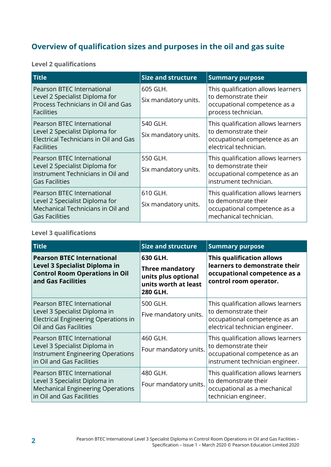# <span id="page-7-0"></span>**Overview of qualification sizes and purposes in the oil and gas suite**

#### **Level 2 qualifications**

| <b>Title</b>                                                                                                               | <b>Size and structure</b>        | <b>Summary purpose</b>                                                                                                |
|----------------------------------------------------------------------------------------------------------------------------|----------------------------------|-----------------------------------------------------------------------------------------------------------------------|
| Pearson BTEC International<br>Level 2 Specialist Diploma for<br>Process Technicians in Oil and Gas<br><b>Facilities</b>    | 605 GLH.<br>Six mandatory units. | This qualification allows learners<br>to demonstrate their<br>occupational competence as a<br>process technician.     |
| Pearson BTEC International<br>Level 2 Specialist Diploma for<br>Electrical Technicians in Oil and Gas<br><b>Facilities</b> | 540 GLH.<br>Six mandatory units. | This qualification allows learners<br>to demonstrate their<br>occupational competence as an<br>electrical technician. |
| Pearson BTEC International<br>Level 2 Specialist Diploma for<br>Instrument Technicians in Oil and<br><b>Gas Facilities</b> | 550 GLH.<br>Six mandatory units. | This qualification allows learners<br>to demonstrate their<br>occupational competence as an<br>instrument technician. |
| Pearson BTEC International<br>Level 2 Specialist Diploma for<br>Mechanical Technicians in Oil and<br><b>Gas Facilities</b> | 610 GLH.<br>Six mandatory units. | This qualification allows learners<br>to demonstrate their<br>occupational competence as a<br>mechanical technician.  |

#### **Level 3 qualifications**

| <b>Title</b>                                                                                                                         | <b>Size and structure</b>                                                                     | <b>Summary purpose</b>                                                                                                         |
|--------------------------------------------------------------------------------------------------------------------------------------|-----------------------------------------------------------------------------------------------|--------------------------------------------------------------------------------------------------------------------------------|
| <b>Pearson BTEC International</b><br>Level 3 Specialist Diploma in<br><b>Control Room Operations in Oil</b><br>and Gas Facilities    | 630 GLH.<br><b>Three mandatory</b><br>units plus optional<br>units worth at least<br>280 GLH. | <b>This qualification allows</b><br>learners to demonstrate their<br>occupational competence as a<br>control room operator.    |
| Pearson BTEC International<br>Level 3 Specialist Diploma in<br>Electrical Engineering Operations in<br>Oil and Gas Facilities        | 500 GLH.<br>Five mandatory units.                                                             | This qualification allows learners<br>to demonstrate their<br>occupational competence as an<br>electrical technician engineer. |
| Pearson BTEC International<br>Level 3 Specialist Diploma in<br><b>Instrument Engineering Operations</b><br>in Oil and Gas Facilities | 460 GLH.<br>Four mandatory units.                                                             | This qualification allows learners<br>to demonstrate their<br>occupational competence as an<br>instrument technician engineer. |
| Pearson BTEC International<br>Level 3 Specialist Diploma in<br><b>Mechanical Engineering Operations</b><br>in Oil and Gas Facilities | 480 GLH.<br>Four mandatory units.                                                             | This qualification allows learners<br>to demonstrate their<br>occupational as a mechanical<br>technician engineer.             |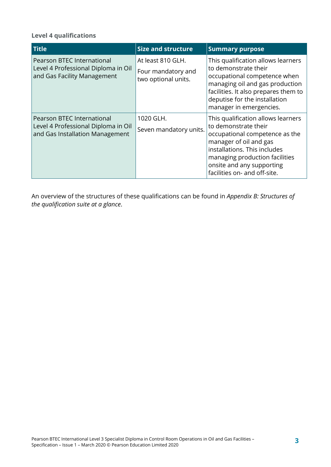#### **Level 4 qualifications**

| <b>Title</b>                                                                                         | <b>Size and structure</b>                                      | <b>Summary purpose</b>                                                                                                                                                                                                                                |
|------------------------------------------------------------------------------------------------------|----------------------------------------------------------------|-------------------------------------------------------------------------------------------------------------------------------------------------------------------------------------------------------------------------------------------------------|
| Pearson BTEC International<br>Level 4 Professional Diploma in Oil<br>and Gas Facility Management     | At least 810 GLH.<br>Four mandatory and<br>two optional units. | This qualification allows learners<br>to demonstrate their<br>occupational competence when<br>managing oil and gas production<br>facilities. It also prepares them to<br>deputise for the installation<br>manager in emergencies.                     |
| Pearson BTEC International<br>Level 4 Professional Diploma in Oil<br>and Gas Installation Management | 1020 GLH.<br>Seven mandatory units.                            | This qualification allows learners<br>to demonstrate their<br>occupational competence as the<br>manager of oil and gas<br>installations. This includes<br>managing production facilities<br>onsite and any supporting<br>facilities on- and off-site. |

An overview of the structures of these qualifications can be found in *Appendix B: Structures of the qualification suite at a glance*.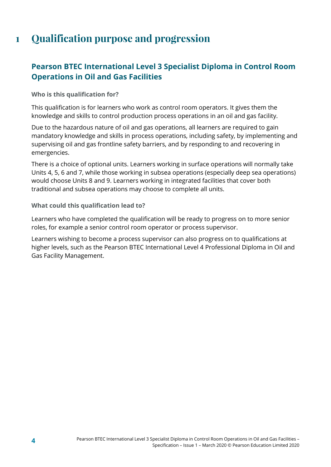# <span id="page-9-0"></span>**1 Qualification purpose and progression**

# <span id="page-9-1"></span>**Pearson BTEC International Level 3 Specialist Diploma in Control Room Operations in Oil and Gas Facilities**

**Who is this qualification for?**

This qualification is for learners who work as control room operators. It gives them the knowledge and skills to control production process operations in an oil and gas facility.

Due to the hazardous nature of oil and gas operations, all learners are required to gain mandatory knowledge and skills in process operations, including safety, by implementing and supervising oil and gas frontline safety barriers, and by responding to and recovering in emergencies.

There is a choice of optional units. Learners working in surface operations will normally take Units 4, 5, 6 and 7, while those working in subsea operations (especially deep sea operations) would choose Units 8 and 9. Learners working in integrated facilities that cover both traditional and subsea operations may choose to complete all units.

**What could this qualification lead to?**

Learners who have completed the qualification will be ready to progress on to more senior roles, for example a senior control room operator or process supervisor.

Learners wishing to become a process supervisor can also progress on to qualifications at higher levels, such as the Pearson BTEC International Level 4 Professional Diploma in Oil and Gas Facility Management.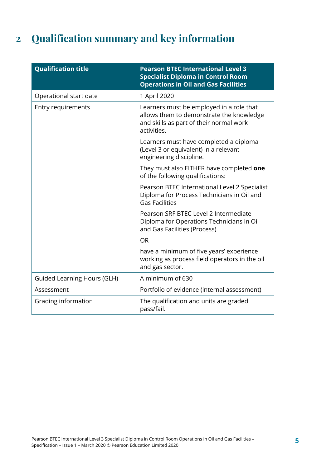# <span id="page-10-0"></span>**2 Qualification summary and key information**

| <b>Qualification title</b>         | <b>Pearson BTEC International Level 3</b><br><b>Specialist Diploma in Control Room</b><br><b>Operations in Oil and Gas Facilities</b>          |
|------------------------------------|------------------------------------------------------------------------------------------------------------------------------------------------|
| Operational start date             | 1 April 2020                                                                                                                                   |
| Entry requirements                 | Learners must be employed in a role that<br>allows them to demonstrate the knowledge<br>and skills as part of their normal work<br>activities. |
|                                    | Learners must have completed a diploma<br>(Level 3 or equivalent) in a relevant<br>engineering discipline.                                     |
|                                    | They must also EITHER have completed one<br>of the following qualifications:                                                                   |
|                                    | Pearson BTEC International Level 2 Specialist<br>Diploma for Process Technicians in Oil and<br><b>Gas Facilities</b>                           |
|                                    | Pearson SRF BTEC Level 2 Intermediate<br>Diploma for Operations Technicians in Oil<br>and Gas Facilities (Process)                             |
|                                    | <b>OR</b>                                                                                                                                      |
|                                    | have a minimum of five years' experience<br>working as process field operators in the oil<br>and gas sector.                                   |
| <b>Guided Learning Hours (GLH)</b> | A minimum of 630                                                                                                                               |
| Assessment                         | Portfolio of evidence (internal assessment)                                                                                                    |
| Grading information                | The qualification and units are graded<br>pass/fail.                                                                                           |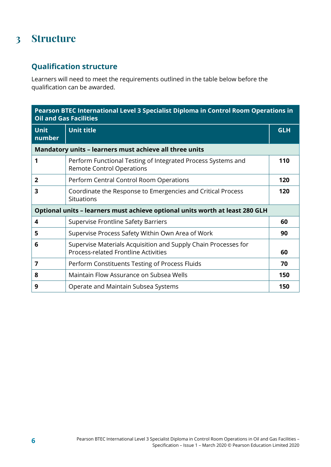# <span id="page-11-2"></span><span id="page-11-0"></span>**3 Structure**

# <span id="page-11-1"></span>**Qualification structure**

Learners will need to meet the requirements outlined in the table below before the qualification can be awarded.

| Pearson BTEC International Level 3 Specialist Diploma in Control Room Operations in<br><b>Oil and Gas Facilities</b> |                                                                                                               |     |  |  |  |
|----------------------------------------------------------------------------------------------------------------------|---------------------------------------------------------------------------------------------------------------|-----|--|--|--|
| <b>Unit</b><br>number                                                                                                | <b>Unit title</b>                                                                                             |     |  |  |  |
|                                                                                                                      | Mandatory units - learners must achieve all three units                                                       |     |  |  |  |
| 1                                                                                                                    | Perform Functional Testing of Integrated Process Systems and<br><b>Remote Control Operations</b>              | 110 |  |  |  |
| $\mathbf{2}$                                                                                                         | Perform Central Control Room Operations                                                                       |     |  |  |  |
| 3                                                                                                                    | Coordinate the Response to Emergencies and Critical Process<br><b>Situations</b>                              |     |  |  |  |
|                                                                                                                      | Optional units - learners must achieve optional units worth at least 280 GLH                                  |     |  |  |  |
| 4                                                                                                                    | Supervise Frontline Safety Barriers                                                                           | 60  |  |  |  |
| 5                                                                                                                    | Supervise Process Safety Within Own Area of Work                                                              | 90  |  |  |  |
| 6                                                                                                                    | Supervise Materials Acquisition and Supply Chain Processes for<br><b>Process-related Frontline Activities</b> | 60  |  |  |  |
| 7                                                                                                                    | Perform Constituents Testing of Process Fluids                                                                | 70  |  |  |  |
| Maintain Flow Assurance on Subsea Wells<br>8                                                                         |                                                                                                               |     |  |  |  |
| 9                                                                                                                    | Operate and Maintain Subsea Systems                                                                           | 150 |  |  |  |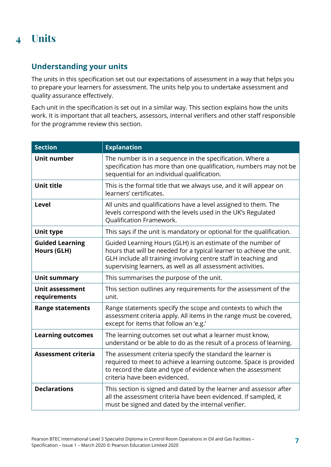# <span id="page-12-1"></span><span id="page-12-0"></span>**Understanding your units**

The units in this specification set out our expectations of assessment in a way that helps you to prepare your learners for assessment. The units help you to undertake assessment and quality assurance effectively.

Each unit in the specification is set out in a similar way. This section explains how the units work. It is important that all teachers, assessors, internal verifiers and other staff responsible for the programme review this section.

| <b>Section</b>                               | <b>Explanation</b>                                                                                                                                                                                                                                                    |
|----------------------------------------------|-----------------------------------------------------------------------------------------------------------------------------------------------------------------------------------------------------------------------------------------------------------------------|
| <b>Unit number</b>                           | The number is in a sequence in the specification. Where a<br>specification has more than one qualification, numbers may not be<br>sequential for an individual qualification.                                                                                         |
| <b>Unit title</b>                            | This is the formal title that we always use, and it will appear on<br>learners' certificates.                                                                                                                                                                         |
| <b>Level</b>                                 | All units and qualifications have a level assigned to them. The<br>levels correspond with the levels used in the UK's Regulated<br>Qualification Framework.                                                                                                           |
| <b>Unit type</b>                             | This says if the unit is mandatory or optional for the qualification.                                                                                                                                                                                                 |
| <b>Guided Learning</b><br><b>Hours (GLH)</b> | Guided Learning Hours (GLH) is an estimate of the number of<br>hours that will be needed for a typical learner to achieve the unit.<br>GLH include all training involving centre staff in teaching and<br>supervising learners, as well as all assessment activities. |
| <b>Unit summary</b>                          | This summarises the purpose of the unit.                                                                                                                                                                                                                              |
| <b>Unit assessment</b><br>requirements       | This section outlines any requirements for the assessment of the<br>unit.                                                                                                                                                                                             |
| <b>Range statements</b>                      | Range statements specify the scope and contexts to which the<br>assessment criteria apply. All items in the range must be covered,<br>except for items that follow an 'e.g.'                                                                                          |
| <b>Learning outcomes</b>                     | The learning outcomes set out what a learner must know,<br>understand or be able to do as the result of a process of learning.                                                                                                                                        |
| <b>Assessment criteria</b>                   | The assessment criteria specify the standard the learner is<br>required to meet to achieve a learning outcome. Space is provided<br>to record the date and type of evidence when the assessment<br>criteria have been evidenced.                                      |
| <b>Declarations</b>                          | This section is signed and dated by the learner and assessor after<br>all the assessment criteria have been evidenced. If sampled, it<br>must be signed and dated by the internal verifier.                                                                           |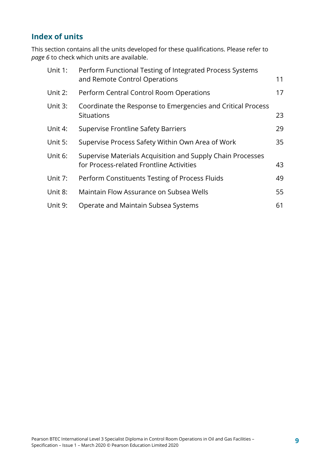# <span id="page-14-0"></span>**Index of units**

This section contains all the units developed for these qualifications. Please refer to *page [6](#page-11-2)* to check which units are available.

| Unit 1: | Perform Functional Testing of Integrated Process Systems                         | 11 |
|---------|----------------------------------------------------------------------------------|----|
|         | and Remote Control Operations                                                    |    |
| Unit 2: | Perform Central Control Room Operations                                          | 17 |
| Unit 3: | Coordinate the Response to Emergencies and Critical Process<br><b>Situations</b> | 23 |
| Unit 4: | Supervise Frontline Safety Barriers                                              | 29 |
| Unit 5: | Supervise Process Safety Within Own Area of Work                                 | 35 |
| Unit 6: | Supervise Materials Acquisition and Supply Chain Processes                       |    |
|         | for Process-related Frontline Activities                                         | 43 |
| Unit 7: | Perform Constituents Testing of Process Fluids                                   | 49 |
| Unit 8: | Maintain Flow Assurance on Subsea Wells                                          | 55 |
| Unit 9: | Operate and Maintain Subsea Systems                                              | 61 |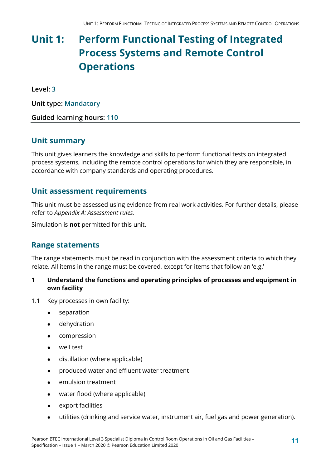# <span id="page-16-1"></span><span id="page-16-0"></span>**Unit 1: Perform Functional Testing of Integrated Process Systems and Remote Control Operations**

**Level: 3**

**Unit type: Mandatory**

#### **Guided learning hours: 110**

### **Unit summary**

This unit gives learners the knowledge and skills to perform functional tests on integrated process systems, including the remote control operations for which they are responsible, in accordance with company standards and operating procedures.

### **Unit assessment requirements**

This unit must be assessed using evidence from real work activities. For further details, please refer to *Appendix A: Assessment rules*.

Simulation is **not** permitted for this unit.

# **Range statements**

The range statements must be read in conjunction with the assessment criteria to which they relate. All items in the range must be covered, except for items that follow an 'e.g.'

- **1 Understand the functions and operating principles of processes and equipment in own facility**
- 1.1 Key processes in own facility:
	- separation
	- dehydration
	- compression
	- well test
	- distillation (where applicable)
	- produced water and effluent water treatment
	- emulsion treatment
	- water flood (where applicable)
	- export facilities
	- utilities (drinking and service water, instrument air, fuel gas and power generation).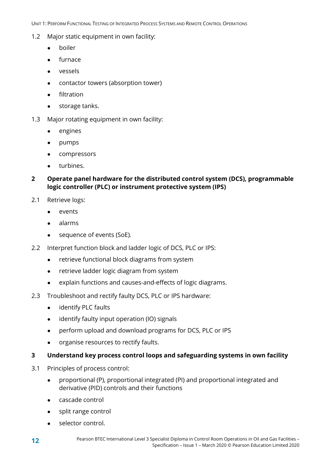UNIT 1: PERFORM FUNCTIONAL TESTING OF INTEGRATED PROCESS SYSTEMS AND REMOTE CONTROL OPERATIONS

- 1.2 Major static equipment in own facility:
	- boiler
	- furnace
	- vessels
	- contactor towers (absorption tower)
	- filtration
	- storage tanks.
- 1.3 Major rotating equipment in own facility:
	- engines
	- pumps
	- compressors
	- turbines.
- **2 Operate panel hardware for the distributed control system (DCS), programmable logic controller (PLC) or instrument protective system (IPS)**
- 2.1 Retrieve logs:
	- events
	- alarms
	- sequence of events (SoE).
- 2.2 Interpret function block and ladder logic of DCS, PLC or IPS:
	- retrieve functional block diagrams from system
	- retrieve ladder logic diagram from system
	- explain functions and causes-and-effects of logic diagrams.
- 2.3 Troubleshoot and rectify faulty DCS, PLC or IPS hardware:
	- identify PLC faults
	- identify faulty input operation (IO) signals
	- perform upload and download programs for DCS, PLC or IPS
	- organise resources to rectify faults.

#### **3 Understand key process control loops and safeguarding systems in own facility**

- 3.1 Principles of process control:
	- proportional (P), proportional integrated (PI) and proportional integrated and derivative (PID) controls and their functions
	- cascade control
	- split range control
	- selector control.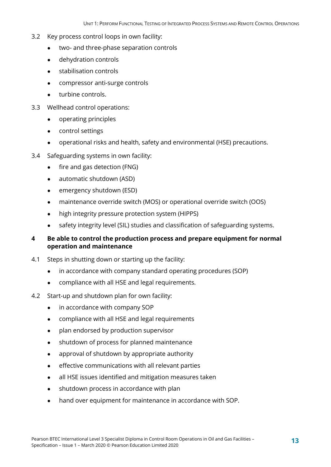- 3.2 Key process control loops in own facility:
	- two- and three-phase separation controls
	- dehydration controls
	- stabilisation controls
	- compressor anti-surge controls
	- turbine controls.
- 3.3 Wellhead control operations:
	- operating principles
	- control settings
	- operational risks and health, safety and environmental (HSE) precautions.
- 3.4 Safeguarding systems in own facility:
	- fire and gas detection (FNG)
	- automatic shutdown (ASD)
	- emergency shutdown (ESD)
	- maintenance override switch (MOS) or operational override switch (OOS)
	- high integrity pressure protection system (HIPPS)
	- safety integrity level (SIL) studies and classification of safeguarding systems.

#### **4 Be able to control the production process and prepare equipment for normal operation and maintenance**

- 4.1 Steps in shutting down or starting up the facility:
	- in accordance with company standard operating procedures (SOP)
	- compliance with all HSE and legal requirements.
- 4.2 Start-up and shutdown plan for own facility:
	- in accordance with company SOP
	- compliance with all HSE and legal requirements
	- plan endorsed by production supervisor
	- shutdown of process for planned maintenance
	- approval of shutdown by appropriate authority
	- effective communications with all relevant parties
	- all HSE issues identified and mitigation measures taken
	- shutdown process in accordance with plan
	- hand over equipment for maintenance in accordance with SOP.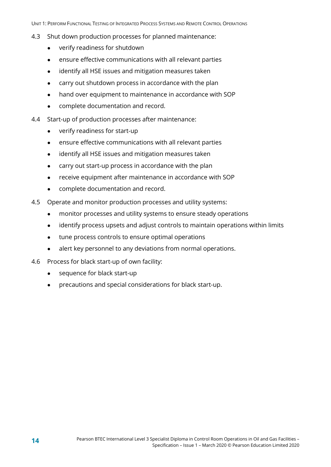- 4.3 Shut down production processes for planned maintenance:
	- verify readiness for shutdown
	- ensure effective communications with all relevant parties
	- identify all HSE issues and mitigation measures taken
	- carry out shutdown process in accordance with the plan
	- hand over equipment to maintenance in accordance with SOP
	- complete documentation and record.
- 4.4 Start-up of production processes after maintenance:
	- verify readiness for start-up
	- ensure effective communications with all relevant parties
	- identify all HSE issues and mitigation measures taken
	- carry out start-up process in accordance with the plan
	- receive equipment after maintenance in accordance with SOP
	- complete documentation and record.
- 4.5 Operate and monitor production processes and utility systems:
	- monitor processes and utility systems to ensure steady operations
	- identify process upsets and adjust controls to maintain operations within limits
	- tune process controls to ensure optimal operations
	- alert key personnel to any deviations from normal operations.
- 4.6 Process for black start-up of own facility:
	- sequence for black start-up
	- precautions and special considerations for black start-up.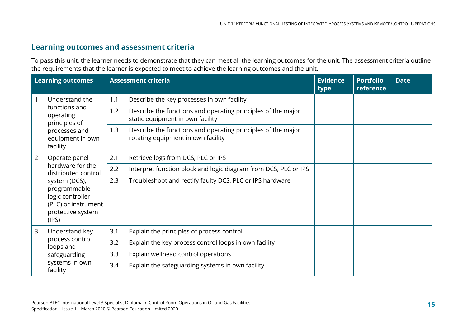# **Learning outcomes and assessment criteria**

To pass this unit, the learner needs to demonstrate that they can meet all the learning outcomes for the unit. The assessment criteria outline the requirements that the learner is expected to meet to achieve the learning outcomes and the unit.

| <b>Learning outcomes</b> |                                                                                                                                                                    |     | <b>Assessment criteria</b>                                                                         | <b>Evidence</b><br>type | <b>Portfolio</b><br>reference | <b>Date</b> |
|--------------------------|--------------------------------------------------------------------------------------------------------------------------------------------------------------------|-----|----------------------------------------------------------------------------------------------------|-------------------------|-------------------------------|-------------|
|                          | Understand the                                                                                                                                                     | 1.1 | Describe the key processes in own facility                                                         |                         |                               |             |
|                          | functions and<br>operating<br>principles of<br>processes and<br>equipment in own<br>facility                                                                       | 1.2 | Describe the functions and operating principles of the major<br>static equipment in own facility   |                         |                               |             |
|                          |                                                                                                                                                                    | 1.3 | Describe the functions and operating principles of the major<br>rotating equipment in own facility |                         |                               |             |
| $\overline{2}$           | Operate panel<br>hardware for the<br>distributed control<br>system (DCS),<br>programmable<br>logic controller<br>(PLC) or instrument<br>protective system<br>(IPS) | 2.1 | Retrieve logs from DCS, PLC or IPS                                                                 |                         |                               |             |
|                          |                                                                                                                                                                    | 2.2 | Interpret function block and logic diagram from DCS, PLC or IPS                                    |                         |                               |             |
|                          |                                                                                                                                                                    | 2.3 | Troubleshoot and rectify faulty DCS, PLC or IPS hardware                                           |                         |                               |             |
| 3                        | Understand key                                                                                                                                                     | 3.1 | Explain the principles of process control                                                          |                         |                               |             |
|                          | process control<br>loops and                                                                                                                                       | 3.2 | Explain the key process control loops in own facility                                              |                         |                               |             |
|                          | safeguarding                                                                                                                                                       | 3.3 | Explain wellhead control operations                                                                |                         |                               |             |
|                          | systems in own<br>facility                                                                                                                                         | 3.4 | Explain the safeguarding systems in own facility                                                   |                         |                               |             |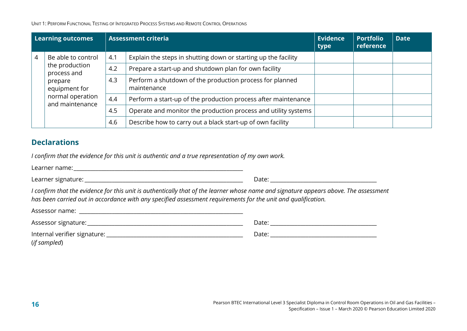UNIT 1: PERFORM FUNCTIONAL TESTING OF INTEGRATED PROCESS SYSTEMS AND REMOTE CONTROL OPERATIONS

| <b>Learning outcomes</b> |                                                           |     | <b>Assessment criteria</b>                                              | Evidence<br>type | <b>Portfolio</b><br>reference | <b>Date</b> |
|--------------------------|-----------------------------------------------------------|-----|-------------------------------------------------------------------------|------------------|-------------------------------|-------------|
| 4                        | Be able to control                                        | 4.1 | Explain the steps in shutting down or starting up the facility          |                  |                               |             |
|                          | the production<br>process and<br>prepare<br>equipment for | 4.2 | Prepare a start-up and shutdown plan for own facility                   |                  |                               |             |
|                          |                                                           | 4.3 | Perform a shutdown of the production process for planned<br>maintenance |                  |                               |             |
|                          | normal operation<br>and maintenance                       | 4.4 | Perform a start-up of the production process after maintenance          |                  |                               |             |
|                          |                                                           | 4.5 | Operate and monitor the production process and utility systems          |                  |                               |             |
|                          |                                                           | 4.6 | Describe how to carry out a black start-up of own facility              |                  |                               |             |

### **Declarations**

*I confirm that the evidence for this unit is authentic and a true representation of my own work.*

Learner name:\_\_\_\_\_\_\_\_\_\_\_\_\_\_\_\_\_\_\_\_\_\_\_\_\_\_\_\_\_\_\_\_\_\_\_\_\_\_\_\_\_\_\_\_\_\_\_\_\_\_\_\_\_\_\_\_\_\_\_\_\_\_ Learner signature: et al. 2011 and 2012 and 2013 and 2013 and 2013 and 2014 and 2013 and 2014 and 2014 and 201 *I confirm that the evidence for this unit is authentically that of the learner whose name and signature appears above. The assessment has been carried out in accordance with any specified assessment requirements for the unit and qualification.*  Assessor name: \_\_\_\_\_\_\_\_\_\_\_\_\_\_\_\_\_\_\_\_\_\_\_\_\_\_\_\_\_\_\_\_\_\_\_\_\_\_\_\_\_\_\_\_\_\_\_\_\_\_\_\_\_\_\_\_\_\_\_\_ Assessor signature: \_\_\_\_\_\_\_\_\_\_\_\_\_\_\_\_\_\_\_\_\_\_\_\_\_\_\_\_\_\_\_\_\_\_\_\_\_\_\_\_\_\_\_\_\_\_\_\_\_\_\_\_\_\_\_\_\_ Date: \_\_\_\_\_\_\_\_\_\_\_\_\_\_\_\_\_\_\_\_\_\_\_\_\_\_\_\_\_\_\_\_\_\_\_\_\_\_\_ Internal verifier signature: \_\_\_\_\_\_\_\_\_\_\_\_\_\_\_\_\_\_\_\_\_\_\_\_\_\_\_\_\_\_\_\_\_\_\_\_\_\_\_\_\_\_\_\_\_\_\_\_\_\_ (*if sampled*) Date: \_\_\_\_\_\_\_\_\_\_\_\_\_\_\_\_\_\_\_\_\_\_\_\_\_\_\_\_\_\_\_\_\_\_\_\_\_\_\_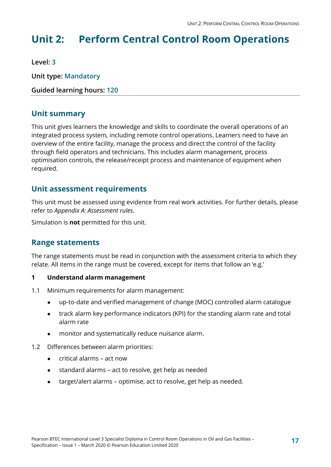# <span id="page-22-1"></span><span id="page-22-0"></span>**Unit 2: Perform Central Control Room Operations**

**Level: 3**

**Unit type: Mandatory**

**Guided learning hours: 120**

# **Unit summary**

This unit gives learners the knowledge and skills to coordinate the overall operations of an integrated process system, including remote control operations. Learners need to have an overview of the entire facility, manage the process and direct the control of the facility through field operators and technicians. This includes alarm management, process optimisation controls, the release/receipt process and maintenance of equipment when required.

### **Unit assessment requirements**

This unit must be assessed using evidence from real work activities. For further details, please refer to *Appendix A: Assessment rules*.

Simulation is **not** permitted for this unit.

### **Range statements**

The range statements must be read in conjunction with the assessment criteria to which they relate. All items in the range must be covered, except for items that follow an 'e.g.'

#### **1 Understand alarm management**

- 1.1 Minimum requirements for alarm management:
	- up-to-date and verified management of change (MOC) controlled alarm catalogue
	- track alarm key performance indicators (KPI) for the standing alarm rate and total alarm rate
	- monitor and systematically reduce nuisance alarm.
- 1.2 Differences between alarm priorities:
	- critical alarms act now
	- standard alarms act to resolve, get help as needed
	- target/alert alarms optimise, act to resolve, get help as needed.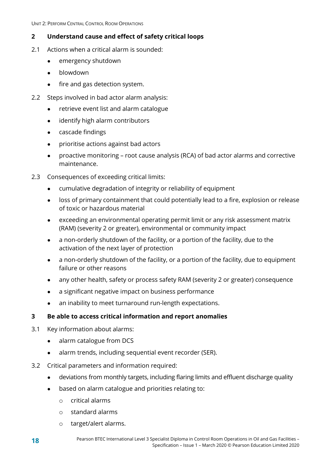#### **2 Understand cause and effect of safety critical loops**

- 2.1 Actions when a critical alarm is sounded:
	- emergency shutdown
	- blowdown
	- fire and gas detection system.
- 2.2 Steps involved in bad actor alarm analysis:
	- retrieve event list and alarm catalogue
	- identify high alarm contributors
	- cascade findings
	- prioritise actions against bad actors
	- proactive monitoring root cause analysis (RCA) of bad actor alarms and corrective maintenance.
- 2.3 Consequences of exceeding critical limits:
	- cumulative degradation of integrity or reliability of equipment
	- loss of primary containment that could potentially lead to a fire, explosion or release of toxic or hazardous material
	- exceeding an environmental operating permit limit or any risk assessment matrix (RAM) (severity 2 or greater), environmental or community impact
	- a non-orderly shutdown of the facility, or a portion of the facility, due to the activation of the next layer of protection
	- a non-orderly shutdown of the facility, or a portion of the facility, due to equipment failure or other reasons
	- any other health, safety or process safety RAM (severity 2 or greater) consequence
	- a significant negative impact on business performance
	- an inability to meet turnaround run-length expectations.

#### **3 Be able to access critical information and report anomalies**

- 3.1 Key information about alarms:
	- alarm catalogue from DCS
	- alarm trends, including sequential event recorder (SER).
- 3.2 Critical parameters and information required:
	- deviations from monthly targets, including flaring limits and effluent discharge quality
	- based on alarm catalogue and priorities relating to:
		- o critical alarms
		- o standard alarms
		- o target/alert alarms.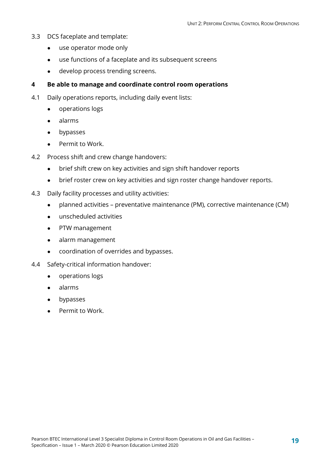- 3.3 DCS faceplate and template:
	- use operator mode only
	- use functions of a faceplate and its subsequent screens
	- develop process trending screens.

#### **4 Be able to manage and coordinate control room operations**

- 4.1 Daily operations reports, including daily event lists:
	- operations logs
	- alarms
	- bypasses
	- Permit to Work.
- 4.2 Process shift and crew change handovers:
	- brief shift crew on key activities and sign shift handover reports
	- brief roster crew on key activities and sign roster change handover reports.
- 4.3 Daily facility processes and utility activities:
	- planned activities preventative maintenance (PM), corrective maintenance (CM)
	- unscheduled activities
	- PTW management
	- alarm management
	- coordination of overrides and bypasses.
- 4.4 Safety-critical information handover:
	- operations logs
	- alarms
	- bypasses
	- Permit to Work.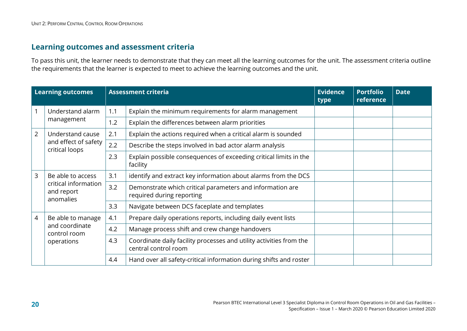# **Learning outcomes and assessment criteria**

To pass this unit, the learner needs to demonstrate that they can meet all the learning outcomes for the unit. The assessment criteria outline the requirements that the learner is expected to meet to achieve the learning outcomes and the unit.

| <b>Learning outcomes</b> |                                                                      |     | <b>Assessment criteria</b>                                                                  | <b>Evidence</b><br>type | <b>Portfolio</b><br>reference | <b>Date</b> |
|--------------------------|----------------------------------------------------------------------|-----|---------------------------------------------------------------------------------------------|-------------------------|-------------------------------|-------------|
|                          | Understand alarm                                                     | 1.1 | Explain the minimum requirements for alarm management                                       |                         |                               |             |
|                          | management                                                           | 1.2 | Explain the differences between alarm priorities                                            |                         |                               |             |
| 2                        | Understand cause                                                     | 2.1 | Explain the actions required when a critical alarm is sounded                               |                         |                               |             |
|                          | and effect of safety<br>critical loops                               | 2.2 | Describe the steps involved in bad actor alarm analysis                                     |                         |                               |             |
|                          |                                                                      | 2.3 | Explain possible consequences of exceeding critical limits in the<br>facility               |                         |                               |             |
| 3                        | Be able to access<br>critical information<br>and report<br>anomalies | 3.1 | identify and extract key information about alarms from the DCS                              |                         |                               |             |
|                          |                                                                      | 3.2 | Demonstrate which critical parameters and information are<br>required during reporting      |                         |                               |             |
|                          |                                                                      | 3.3 | Navigate between DCS faceplate and templates                                                |                         |                               |             |
| $\overline{4}$           | Be able to manage                                                    | 4.1 | Prepare daily operations reports, including daily event lists                               |                         |                               |             |
|                          | and coordinate<br>control room                                       | 4.2 | Manage process shift and crew change handovers                                              |                         |                               |             |
|                          | operations                                                           | 4.3 | Coordinate daily facility processes and utility activities from the<br>central control room |                         |                               |             |
|                          |                                                                      | 4.4 | Hand over all safety-critical information during shifts and roster                          |                         |                               |             |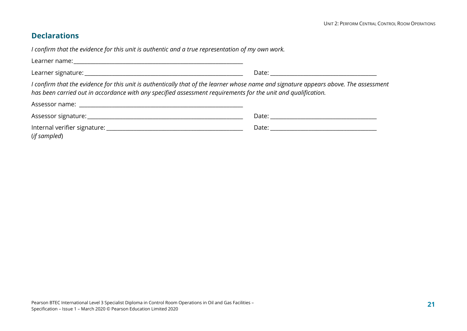# **Declarations**

| I confirm that the evidence for this unit is authentic and a true representation of my own work.                                                                                                                                                       |                                                                                                                                                                                                                                |
|--------------------------------------------------------------------------------------------------------------------------------------------------------------------------------------------------------------------------------------------------------|--------------------------------------------------------------------------------------------------------------------------------------------------------------------------------------------------------------------------------|
|                                                                                                                                                                                                                                                        |                                                                                                                                                                                                                                |
|                                                                                                                                                                                                                                                        |                                                                                                                                                                                                                                |
| I confirm that the evidence for this unit is authentically that of the learner whose name and signature appears above. The assessment<br>has been carried out in accordance with any specified assessment requirements for the unit and qualification. |                                                                                                                                                                                                                                |
|                                                                                                                                                                                                                                                        |                                                                                                                                                                                                                                |
|                                                                                                                                                                                                                                                        |                                                                                                                                                                                                                                |
| (if sampled)                                                                                                                                                                                                                                           | Date: the contract of the contract of the contract of the contract of the contract of the contract of the contract of the contract of the contract of the contract of the contract of the contract of the contract of the cont |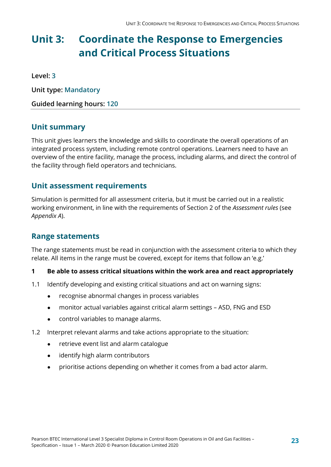# <span id="page-28-1"></span><span id="page-28-0"></span>**Unit 3: Coordinate the Response to Emergencies and Critical Process Situations**

**Level: 3**

**Unit type: Mandatory**

**Guided learning hours: 120** 

### **Unit summary**

This unit gives learners the knowledge and skills to coordinate the overall operations of an integrated process system, including remote control operations. Learners need to have an overview of the entire facility, manage the process, including alarms, and direct the control of the facility through field operators and technicians.

### **Unit assessment requirements**

Simulation is permitted for all assessment criteria, but it must be carried out in a realistic working environment, in line with the requirements of Section 2 of the *Assessment rules* (see *Appendix A*).

# **Range statements**

The range statements must be read in conjunction with the assessment criteria to which they relate. All items in the range must be covered, except for items that follow an 'e.g.'

#### **1 Be able to assess critical situations within the work area and react appropriately**

- 1.1 Identify developing and existing critical situations and act on warning signs:
	- recognise abnormal changes in process variables
	- monitor actual variables against critical alarm settings ASD, FNG and ESD
	- control variables to manage alarms.
- 1.2 Interpret relevant alarms and take actions appropriate to the situation:
	- retrieve event list and alarm catalogue
	- identify high alarm contributors
	- prioritise actions depending on whether it comes from a bad actor alarm.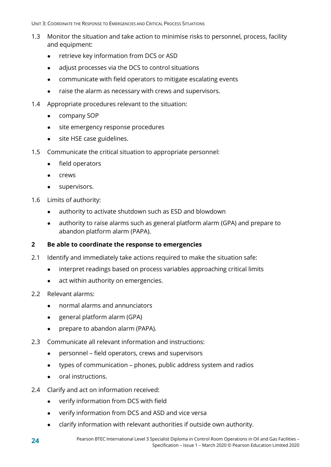- 1.3 Monitor the situation and take action to minimise risks to personnel, process, facility and equipment:
	- retrieve key information from DCS or ASD
	- adjust processes via the DCS to control situations
	- communicate with field operators to mitigate escalating events
	- raise the alarm as necessary with crews and supervisors.
- 1.4 Appropriate procedures relevant to the situation:
	- company SOP
	- site emergency response procedures
	- site HSE case guidelines.
- 1.5 Communicate the critical situation to appropriate personnel:
	- field operators
	- crews
	- supervisors.
- 1.6 Limits of authority:
	- authority to activate shutdown such as ESD and blowdown
	- authority to raise alarms such as general platform alarm (GPA) and prepare to abandon platform alarm (PAPA).
- **2 Be able to coordinate the response to emergencies**
- 2.1 Identify and immediately take actions required to make the situation safe:
	- interpret readings based on process variables approaching critical limits
	- act within authority on emergencies.
- 2.2 Relevant alarms:
	- normal alarms and annunciators
	- general platform alarm (GPA)
	- prepare to abandon alarm (PAPA).
- 2.3 Communicate all relevant information and instructions:
	- personnel field operators, crews and supervisors
	- types of communication phones, public address system and radios
	- oral instructions.
- 2.4 Clarify and act on information received:
	- verify information from DCS with field
	- verify information from DCS and ASD and vice versa
	- clarify information with relevant authorities if outside own authority.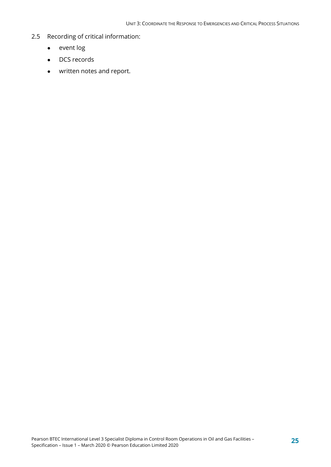#### 2.5 Recording of critical information:

- event log
- DCS records
- written notes and report.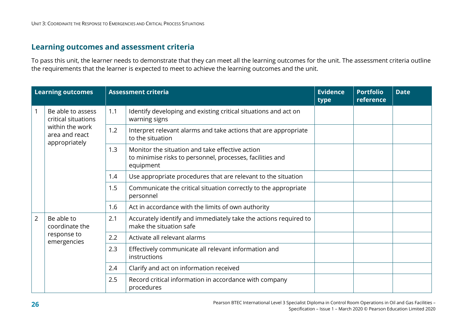### **Learning outcomes and assessment criteria**

To pass this unit, the learner needs to demonstrate that they can meet all the learning outcomes for the unit. The assessment criteria outline the requirements that the learner is expected to meet to achieve the learning outcomes and the unit.

| <b>Learning outcomes</b> |                                                                                                | <b>Assessment criteria</b> |                                                                                                                           | <b>Evidence</b><br>type | <b>Portfolio</b><br>reference | <b>Date</b> |
|--------------------------|------------------------------------------------------------------------------------------------|----------------------------|---------------------------------------------------------------------------------------------------------------------------|-------------------------|-------------------------------|-------------|
|                          | Be able to assess<br>critical situations<br>within the work<br>area and react<br>appropriately | 1.1                        | Identify developing and existing critical situations and act on<br>warning signs                                          |                         |                               |             |
|                          |                                                                                                | 1.2                        | Interpret relevant alarms and take actions that are appropriate<br>to the situation                                       |                         |                               |             |
|                          |                                                                                                | 1.3                        | Monitor the situation and take effective action<br>to minimise risks to personnel, processes, facilities and<br>equipment |                         |                               |             |
|                          |                                                                                                | 1.4                        | Use appropriate procedures that are relevant to the situation                                                             |                         |                               |             |
|                          |                                                                                                | 1.5                        | Communicate the critical situation correctly to the appropriate<br>personnel                                              |                         |                               |             |
|                          |                                                                                                | 1.6                        | Act in accordance with the limits of own authority                                                                        |                         |                               |             |
| $\overline{2}$           | Be able to<br>coordinate the<br>response to<br>emergencies                                     | 2.1                        | Accurately identify and immediately take the actions required to<br>make the situation safe                               |                         |                               |             |
|                          |                                                                                                | 2.2                        | Activate all relevant alarms                                                                                              |                         |                               |             |
|                          |                                                                                                | 2.3                        | Effectively communicate all relevant information and<br>instructions                                                      |                         |                               |             |
|                          |                                                                                                | 2.4                        | Clarify and act on information received                                                                                   |                         |                               |             |
|                          |                                                                                                | 2.5                        | Record critical information in accordance with company<br>procedures                                                      |                         |                               |             |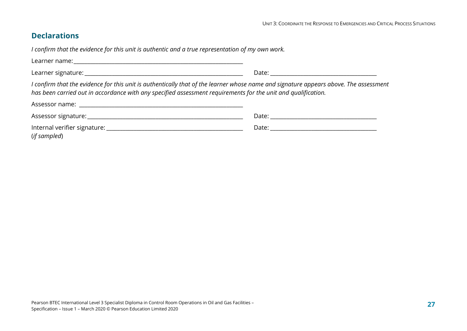# **Declarations**

| I confirm that the evidence for this unit is authentic and a true representation of my own work.                                                                                                                                                       |  |
|--------------------------------------------------------------------------------------------------------------------------------------------------------------------------------------------------------------------------------------------------------|--|
|                                                                                                                                                                                                                                                        |  |
|                                                                                                                                                                                                                                                        |  |
| I confirm that the evidence for this unit is authentically that of the learner whose name and signature appears above. The assessment<br>has been carried out in accordance with any specified assessment requirements for the unit and qualification. |  |
|                                                                                                                                                                                                                                                        |  |
|                                                                                                                                                                                                                                                        |  |
| (if sampled)                                                                                                                                                                                                                                           |  |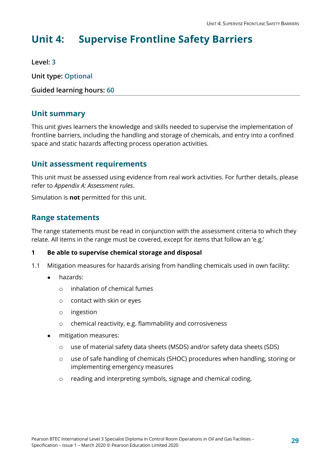# <span id="page-34-1"></span><span id="page-34-0"></span>**Unit 4: Supervise Frontline Safety Barriers**

**Level: 3**

**Unit type: Optional**

**Guided learning hours: 60**

# **Unit summary**

This unit gives learners the knowledge and skills needed to supervise the implementation of frontline barriers, including the handling and storage of chemicals, and entry into a confined space and static hazards affecting process operation activities.

# **Unit assessment requirements**

This unit must be assessed using evidence from real work activities. For further details, please refer to *Appendix A: Assessment rules*.

Simulation is **not** permitted for this unit.

### **Range statements**

The range statements must be read in conjunction with the assessment criteria to which they relate. All items in the range must be covered, except for items that follow an 'e.g.'

#### **1 Be able to supervise chemical storage and disposal**

- 1.1 Mitigation measures for hazards arising from handling chemicals used in own facility:
	- hazards:
		- o inhalation of chemical fumes
		- o contact with skin or eyes
		- o ingestion
		- o chemical reactivity, e.g. flammability and corrosiveness
	- mitigation measures:
		- o use of material safety data sheets (MSDS) and/or safety data sheets (SDS)
		- o use of safe handling of chemicals (SHOC) procedures when handling, storing or implementing emergency measures
		- o reading and interpreting symbols, signage and chemical coding.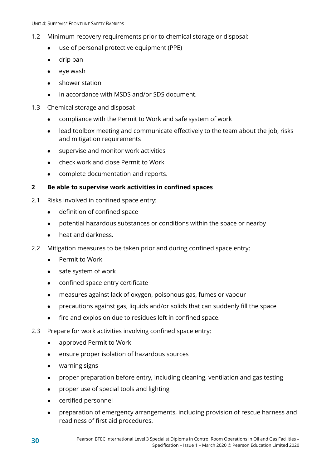- 1.2 Minimum recovery requirements prior to chemical storage or disposal:
	- use of personal protective equipment (PPE)
	- drip pan
	- eye wash
	- shower station
	- in accordance with MSDS and/or SDS document.
- 1.3 Chemical storage and disposal:
	- compliance with the Permit to Work and safe system of work
	- lead toolbox meeting and communicate effectively to the team about the job, risks and mitigation requirements
	- supervise and monitor work activities
	- check work and close Permit to Work
	- complete documentation and reports.
- **2 Be able to supervise work activities in confined spaces**
- 2.1 Risks involved in confined space entry:
	- definition of confined space
	- potential hazardous substances or conditions within the space or nearby
	- heat and darkness.
- 2.2 Mitigation measures to be taken prior and during confined space entry:
	- Permit to Work
	- safe system of work
	- confined space entry certificate
	- measures against lack of oxygen, poisonous gas, fumes or vapour
	- precautions against gas, liquids and/or solids that can suddenly fill the space
	- fire and explosion due to residues left in confined space.
- 2.3 Prepare for work activities involving confined space entry:
	- approved Permit to Work
	- ensure proper isolation of hazardous sources
	- warning signs
	- proper preparation before entry, including cleaning, ventilation and gas testing
	- proper use of special tools and lighting
	- certified personnel
	- preparation of emergency arrangements, including provision of rescue harness and readiness of first aid procedures.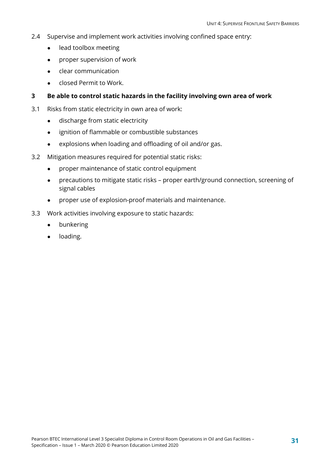- 2.4 Supervise and implement work activities involving confined space entry:
	- lead toolbox meeting
	- proper supervision of work
	- clear communication
	- closed Permit to Work.
- **3 Be able to control static hazards in the facility involving own area of work**
- 3.1 Risks from static electricity in own area of work:
	- discharge from static electricity
	- ignition of flammable or combustible substances
	- explosions when loading and offloading of oil and/or gas.
- 3.2 Mitigation measures required for potential static risks:
	- proper maintenance of static control equipment
	- precautions to mitigate static risks proper earth/ground connection, screening of signal cables
	- proper use of explosion-proof materials and maintenance.
- 3.3 Work activities involving exposure to static hazards:
	- bunkering
	- loading.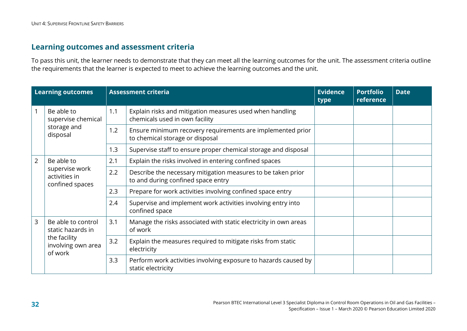| <b>Learning outcomes</b> |                                                                                          |     | <b>Assessment criteria</b>                                                                         | <b>Evidence</b><br>type | <b>Portfolio</b><br>reference | <b>Date</b> |
|--------------------------|------------------------------------------------------------------------------------------|-----|----------------------------------------------------------------------------------------------------|-------------------------|-------------------------------|-------------|
|                          | Be able to<br>supervise chemical                                                         | 1.1 | Explain risks and mitigation measures used when handling<br>chemicals used in own facility         |                         |                               |             |
|                          | storage and<br>disposal                                                                  | 1.2 | Ensure minimum recovery requirements are implemented prior<br>to chemical storage or disposal      |                         |                               |             |
|                          |                                                                                          | 1.3 | Supervise staff to ensure proper chemical storage and disposal                                     |                         |                               |             |
| $\overline{2}$           | Be able to<br>supervise work<br>activities in<br>confined spaces                         | 2.1 | Explain the risks involved in entering confined spaces                                             |                         |                               |             |
|                          |                                                                                          | 2.2 | Describe the necessary mitigation measures to be taken prior<br>to and during confined space entry |                         |                               |             |
|                          |                                                                                          | 2.3 | Prepare for work activities involving confined space entry                                         |                         |                               |             |
|                          |                                                                                          | 2.4 | Supervise and implement work activities involving entry into<br>confined space                     |                         |                               |             |
| 3                        | Be able to control<br>static hazards in<br>the facility<br>involving own area<br>of work | 3.1 | Manage the risks associated with static electricity in own areas<br>of work                        |                         |                               |             |
|                          |                                                                                          | 3.2 | Explain the measures required to mitigate risks from static<br>electricity                         |                         |                               |             |
|                          |                                                                                          | 3.3 | Perform work activities involving exposure to hazards caused by<br>static electricity              |                         |                               |             |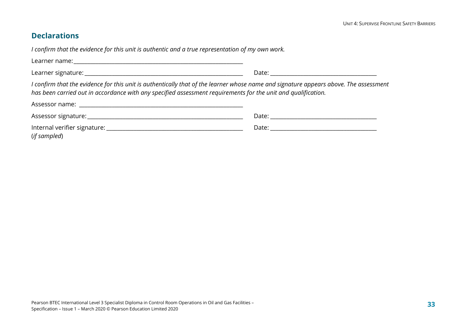## **Declarations**

| I confirm that the evidence for this unit is authentic and a true representation of my own work.                                                                                                                                                       |             |
|--------------------------------------------------------------------------------------------------------------------------------------------------------------------------------------------------------------------------------------------------------|-------------|
|                                                                                                                                                                                                                                                        |             |
|                                                                                                                                                                                                                                                        |             |
| I confirm that the evidence for this unit is authentically that of the learner whose name and signature appears above. The assessment<br>has been carried out in accordance with any specified assessment requirements for the unit and qualification. |             |
|                                                                                                                                                                                                                                                        |             |
|                                                                                                                                                                                                                                                        | Date: Date: |
| (if sampled)                                                                                                                                                                                                                                           |             |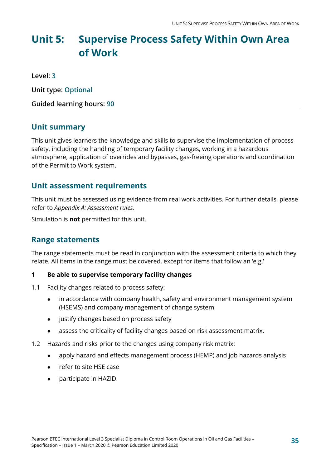## **Unit 5: Supervise Process Safety Within Own Area of Work**

**Level: 3**

**Unit type: Optional**

**Guided learning hours: 90**

## **Unit summary**

This unit gives learners the knowledge and skills to supervise the implementation of process safety, including the handling of temporary facility changes, working in a hazardous atmosphere, application of overrides and bypasses, gas-freeing operations and coordination of the Permit to Work system.

## **Unit assessment requirements**

This unit must be assessed using evidence from real work activities. For further details, please refer to *Appendix A: Assessment rules*.

Simulation is **not** permitted for this unit.

## **Range statements**

The range statements must be read in conjunction with the assessment criteria to which they relate. All items in the range must be covered, except for items that follow an 'e.g.'

#### **1 Be able to supervise temporary facility changes**

- 1.1 Facility changes related to process safety:
	- in accordance with company health, safety and environment management system (HSEMS) and company management of change system
	- justify changes based on process safety
	- assess the criticality of facility changes based on risk assessment matrix.
- 1.2 Hazards and risks prior to the changes using company risk matrix:
	- apply hazard and effects management process (HEMP) and job hazards analysis
	- refer to site HSE case
	- participate in HAZID.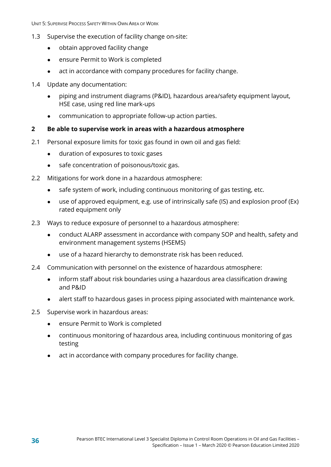- 1.3 Supervise the execution of facility change on-site:
	- obtain approved facility change
	- ensure Permit to Work is completed
	- act in accordance with company procedures for facility change.
- 1.4 Update any documentation:
	- piping and instrument diagrams (P&ID), hazardous area/safety equipment layout, HSE case, using red line mark-ups
	- communication to appropriate follow-up action parties.

### **2 Be able to supervise work in areas with a hazardous atmosphere**

- 2.1 Personal exposure limits for toxic gas found in own oil and gas field:
	- duration of exposures to toxic gases
	- safe concentration of poisonous/toxic gas.
- 2.2 Mitigations for work done in a hazardous atmosphere:
	- safe system of work, including continuous monitoring of gas testing, etc.
	- use of approved equipment, e.g. use of intrinsically safe (IS) and explosion proof (Ex) rated equipment only
- 2.3 Ways to reduce exposure of personnel to a hazardous atmosphere:
	- conduct ALARP assessment in accordance with company SOP and health, safety and environment management systems (HSEMS)
	- use of a hazard hierarchy to demonstrate risk has been reduced.
- 2.4 Communication with personnel on the existence of hazardous atmosphere:
	- inform staff about risk boundaries using a hazardous area classification drawing and P&ID
	- alert staff to hazardous gases in process piping associated with maintenance work.
- 2.5 Supervise work in hazardous areas:
	- ensure Permit to Work is completed
	- continuous monitoring of hazardous area, including continuous monitoring of gas testing
	- act in accordance with company procedures for facility change.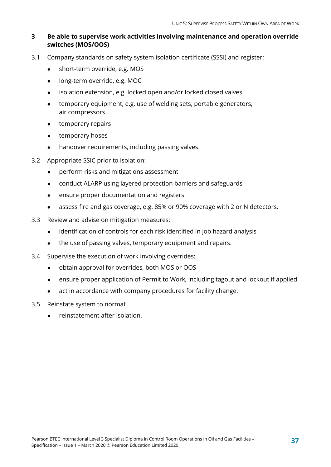#### **3 Be able to supervise work activities involving maintenance and operation override switches (MOS/OOS)**

- 3.1 Company standards on safety system isolation certificate (SSSI) and register:
	- short-term override, e.g. MOS
	- long-term override, e.g. MOC
	- isolation extension, e.g. locked open and/or locked closed valves
	- temporary equipment, e.g. use of welding sets, portable generators, air compressors
	- temporary repairs
	- temporary hoses
	- handover requirements, including passing valves.
- 3.2 Appropriate SSIC prior to isolation:
	- perform risks and mitigations assessment
	- conduct ALARP using layered protection barriers and safeguards
	- ensure proper documentation and registers
	- assess fire and gas coverage, e.g. 85% or 90% coverage with 2 or N detectors.
- 3.3 Review and advise on mitigation measures:
	- identification of controls for each risk identified in job hazard analysis
	- the use of passing valves, temporary equipment and repairs.
- 3.4 Supervise the execution of work involving overrides:
	- obtain approval for overrides, both MOS or OOS
	- ensure proper application of Permit to Work, including tagout and lockout if applied
	- act in accordance with company procedures for facility change.
- 3.5 Reinstate system to normal:
	- reinstatement after isolation.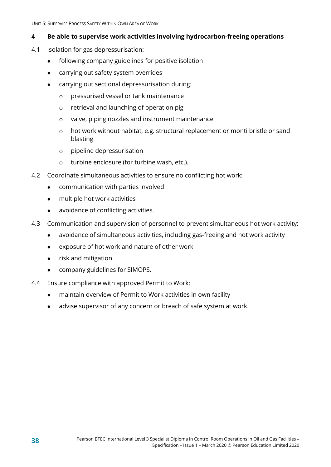#### **4 Be able to supervise work activities involving hydrocarbon-freeing operations**

- 4.1 Isolation for gas depressurisation:
	- following company guidelines for positive isolation
	- carrying out safety system overrides
	- carrying out sectional depressurisation during:
		- o pressurised vessel or tank maintenance
		- o retrieval and launching of operation pig
		- o valve, piping nozzles and instrument maintenance
		- o hot work without habitat, e.g. structural replacement or monti bristle or sand blasting
		- o pipeline depressurisation
		- o turbine enclosure (for turbine wash, etc.).
- 4.2 Coordinate simultaneous activities to ensure no conflicting hot work:
	- communication with parties involved
	- multiple hot work activities
	- avoidance of conflicting activities.
- 4.3 Communication and supervision of personnel to prevent simultaneous hot work activity:
	- avoidance of simultaneous activities, including gas-freeing and hot work activity
	- exposure of hot work and nature of other work
	- risk and mitigation
	- company guidelines for SIMOPS.
- 4.4 Ensure compliance with approved Permit to Work:
	- maintain overview of Permit to Work activities in own facility
	- advise supervisor of any concern or breach of safe system at work.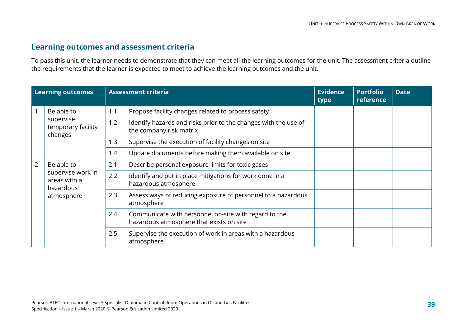| <b>Learning outcomes</b> |                                                                            |     | <b>Assessment criteria</b>                                                                        | <b>Evidence</b><br>type | <b>Portfolio</b><br>reference | <b>Date</b> |
|--------------------------|----------------------------------------------------------------------------|-----|---------------------------------------------------------------------------------------------------|-------------------------|-------------------------------|-------------|
|                          | Be able to                                                                 | 1.1 | Propose facility changes related to process safety                                                |                         |                               |             |
|                          | supervise<br>temporary facility<br>changes                                 | 1.2 | Identify hazards and risks prior to the changes with the use of<br>the company risk matrix        |                         |                               |             |
|                          |                                                                            | 1.3 | Supervise the execution of facility changes on site                                               |                         |                               |             |
|                          |                                                                            | 1.4 | Update documents before making them available on site                                             |                         |                               |             |
| $\overline{2}$           | Be able to<br>supervise work in<br>areas with a<br>hazardous<br>atmosphere | 2.1 | Describe personal exposure limits for toxic gases                                                 |                         |                               |             |
|                          |                                                                            | 2.2 | Identify and put in place mitigations for work done in a<br>hazardous atmosphere                  |                         |                               |             |
|                          |                                                                            | 2.3 | Assess ways of reducing exposure of personnel to a hazardous<br>atmosphere                        |                         |                               |             |
|                          |                                                                            | 2.4 | Communicate with personnel on-site with regard to the<br>hazardous atmosphere that exists on site |                         |                               |             |
|                          |                                                                            | 2.5 | Supervise the execution of work in areas with a hazardous<br>atmosphere                           |                         |                               |             |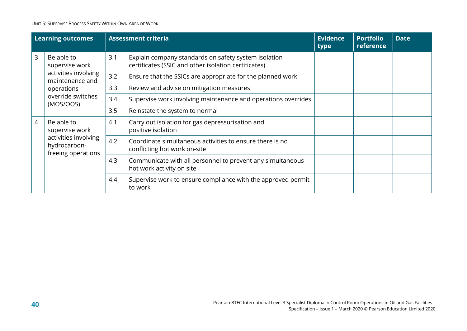#### UNIT 5: SUPERVISE PROCESS SAFETY WITHIN OWN AREA OF WORK

| <b>Learning outcomes</b> |                                                                                            |     | <b>Assessment criteria</b>                                                                                   | <b>Evidence</b><br>type | <b>Portfolio</b><br>reference | <b>Date</b> |
|--------------------------|--------------------------------------------------------------------------------------------|-----|--------------------------------------------------------------------------------------------------------------|-------------------------|-------------------------------|-------------|
| 3                        | Be able to<br>supervise work                                                               | 3.1 | Explain company standards on safety system isolation<br>certificates (SSIC and other isolation certificates) |                         |                               |             |
|                          | activities involving<br>maintenance and                                                    | 3.2 | Ensure that the SSICs are appropriate for the planned work                                                   |                         |                               |             |
|                          | operations                                                                                 | 3.3 | Review and advise on mitigation measures                                                                     |                         |                               |             |
|                          | override switches<br>(MOS/OOS)                                                             | 3.4 | Supervise work involving maintenance and operations overrides                                                |                         |                               |             |
|                          |                                                                                            | 3.5 | Reinstate the system to normal                                                                               |                         |                               |             |
| $\overline{4}$           | Be able to<br>supervise work<br>activities involving<br>hydrocarbon-<br>freeing operations | 4.1 | Carry out isolation for gas depressurisation and<br>positive isolation                                       |                         |                               |             |
|                          |                                                                                            | 4.2 | Coordinate simultaneous activities to ensure there is no<br>conflicting hot work on-site                     |                         |                               |             |
|                          |                                                                                            | 4.3 | Communicate with all personnel to prevent any simultaneous<br>hot work activity on site                      |                         |                               |             |
|                          |                                                                                            | 4.4 | Supervise work to ensure compliance with the approved permit<br>to work                                      |                         |                               |             |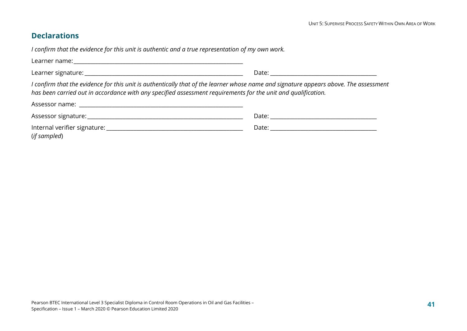## **Declarations**

| I confirm that the evidence for this unit is authentic and a true representation of my own work.                                                                                                                                                       |                                                                                                                                                                                                                               |
|--------------------------------------------------------------------------------------------------------------------------------------------------------------------------------------------------------------------------------------------------------|-------------------------------------------------------------------------------------------------------------------------------------------------------------------------------------------------------------------------------|
|                                                                                                                                                                                                                                                        |                                                                                                                                                                                                                               |
|                                                                                                                                                                                                                                                        | Date: Date:                                                                                                                                                                                                                   |
| I confirm that the evidence for this unit is authentically that of the learner whose name and signature appears above. The assessment<br>has been carried out in accordance with any specified assessment requirements for the unit and qualification. |                                                                                                                                                                                                                               |
|                                                                                                                                                                                                                                                        |                                                                                                                                                                                                                               |
|                                                                                                                                                                                                                                                        |                                                                                                                                                                                                                               |
| (if sampled)                                                                                                                                                                                                                                           | Date: will be a series of the series of the series of the series of the series of the series of the series of the series of the series of the series of the series of the series of the series of the series of the series of |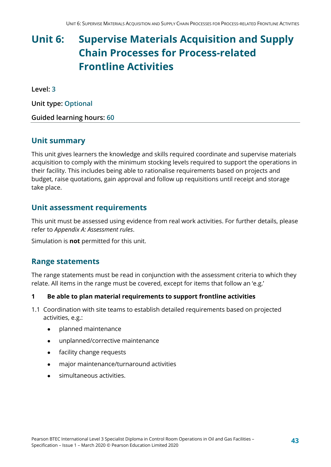# **Unit 6: Supervise Materials Acquisition and Supply Chain Processes for Process-related Frontline Activities**

**Level: 3**

**Unit type: Optional**

### **Guided learning hours: 60**

## **Unit summary**

This unit gives learners the knowledge and skills required coordinate and supervise materials acquisition to comply with the minimum stocking levels required to support the operations in their facility. This includes being able to rationalise requirements based on projects and budget, raise quotations, gain approval and follow up requisitions until receipt and storage take place.

## **Unit assessment requirements**

This unit must be assessed using evidence from real work activities. For further details, please refer to *Appendix A: Assessment rules*.

Simulation is **not** permitted for this unit.

## **Range statements**

The range statements must be read in conjunction with the assessment criteria to which they relate. All items in the range must be covered, except for items that follow an 'e.g.'

### **1 Be able to plan material requirements to support frontline activities**

- 1.1 Coordination with site teams to establish detailed requirements based on projected activities, e.g.:
	- planned maintenance
	- unplanned/corrective maintenance
	- facility change requests
	- major maintenance/turnaround activities
	- simultaneous activities.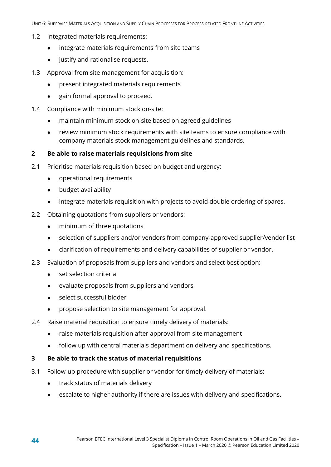- 1.2 Integrated materials requirements:
	- integrate materials requirements from site teams
	- justify and rationalise requests.
- 1.3 Approval from site management for acquisition:
	- present integrated materials requirements
	- gain formal approval to proceed.
- 1.4 Compliance with minimum stock on-site:
	- maintain minimum stock on-site based on agreed guidelines
	- review minimum stock requirements with site teams to ensure compliance with company materials stock management guidelines and standards.

#### **2 Be able to raise materials requisitions from site**

- 2.1 Prioritise materials requisition based on budget and urgency:
	- operational requirements
	- budget availability
	- integrate materials requisition with projects to avoid double ordering of spares.
- 2.2 Obtaining quotations from suppliers or vendors:
	- minimum of three quotations
	- selection of suppliers and/or vendors from company-approved supplier/vendor list
	- clarification of requirements and delivery capabilities of supplier or vendor.
- 2.3 Evaluation of proposals from suppliers and vendors and select best option:
	- set selection criteria
	- evaluate proposals from suppliers and vendors
	- select successful bidder
	- propose selection to site management for approval.
- 2.4 Raise material requisition to ensure timely delivery of materials:
	- raise materials requisition after approval from site management
	- follow up with central materials department on delivery and specifications.

#### **3 Be able to track the status of material requisitions**

- 3.1 Follow-up procedure with supplier or vendor for timely delivery of materials:
	- track status of materials delivery
	- escalate to higher authority if there are issues with delivery and specifications.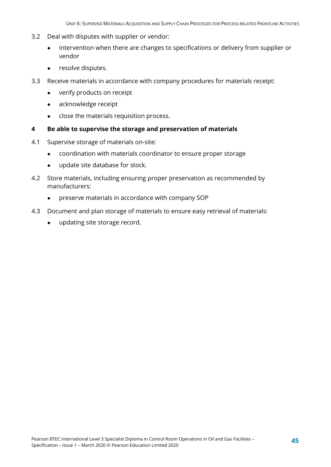- 3.2 Deal with disputes with supplier or vendor:
	- intervention when there are changes to specifications or delivery from supplier or vendor
	- resolve disputes.
- 3.3 Receive materials in accordance with company procedures for materials receipt:
	- verify products on receipt
	- acknowledge receipt
	- close the materials requisition process.

#### **4 Be able to supervise the storage and preservation of materials**

- 4.1 Supervise storage of materials on-site:
	- coordination with materials coordinator to ensure proper storage
	- update site database for stock.
- 4.2 Store materials, including ensuring proper preservation as recommended by manufacturers:
	- preserve materials in accordance with company SOP
- 4.3 Document and plan storage of materials to ensure easy retrieval of materials:
	- updating site storage record.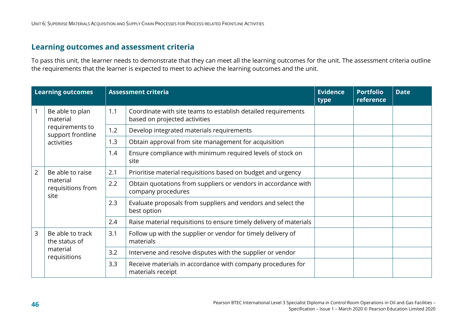| <b>Learning outcomes</b> |                                                           |     | <b>Assessment criteria</b>                                                                     | <b>Evidence</b><br>type | <b>Portfolio</b><br>reference | <b>Date</b> |
|--------------------------|-----------------------------------------------------------|-----|------------------------------------------------------------------------------------------------|-------------------------|-------------------------------|-------------|
|                          | Be able to plan<br>material                               | 1.1 | Coordinate with site teams to establish detailed requirements<br>based on projected activities |                         |                               |             |
|                          | requirements to<br>support frontline                      | 1.2 | Develop integrated materials requirements                                                      |                         |                               |             |
|                          | activities                                                | 1.3 | Obtain approval from site management for acquisition                                           |                         |                               |             |
|                          |                                                           | 1.4 | Ensure compliance with minimum required levels of stock on<br>site                             |                         |                               |             |
| $\overline{2}$           | Be able to raise<br>material<br>requisitions from<br>site | 2.1 | Prioritise material requisitions based on budget and urgency                                   |                         |                               |             |
|                          |                                                           | 2.2 | Obtain quotations from suppliers or vendors in accordance with<br>company procedures           |                         |                               |             |
|                          |                                                           | 2.3 | Evaluate proposals from suppliers and vendors and select the<br>best option                    |                         |                               |             |
|                          |                                                           | 2.4 | Raise material requisitions to ensure timely delivery of materials                             |                         |                               |             |
| 3                        | Be able to track<br>the status of                         | 3.1 | Follow up with the supplier or vendor for timely delivery of<br>materials                      |                         |                               |             |
|                          | material<br>requisitions                                  | 3.2 | Intervene and resolve disputes with the supplier or vendor                                     |                         |                               |             |
|                          |                                                           | 3.3 | Receive materials in accordance with company procedures for<br>materials receipt               |                         |                               |             |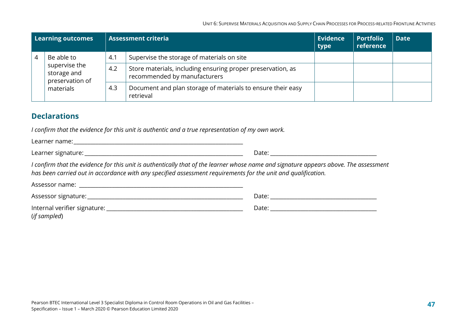UNIT 6: SUPERVISE MATERIALS ACQUISITION AND SUPPLY CHAIN PROCESSES FOR PROCESS-RELATED FRONTLINE ACTIVITIES

| <b>Learning outcomes</b> |                                                                            |     | <b>Assessment criteria</b>                                                                  | Evidence<br>type | <b>Portfolio</b><br>reference | <b>Date</b> |
|--------------------------|----------------------------------------------------------------------------|-----|---------------------------------------------------------------------------------------------|------------------|-------------------------------|-------------|
| 4                        | Be able to<br>supervise the<br>storage and<br>preservation of<br>materials | 4.1 | Supervise the storage of materials on site                                                  |                  |                               |             |
|                          |                                                                            | 4.2 | Store materials, including ensuring proper preservation, as<br>recommended by manufacturers |                  |                               |             |
|                          |                                                                            | 4.3 | Document and plan storage of materials to ensure their easy<br>retrieval                    |                  |                               |             |

## **Declarations**

*I confirm that the evidence for this unit is authentic and a true representation of my own work.*

Learner name:\_\_\_\_\_\_\_\_\_\_\_\_\_\_\_\_\_\_\_\_\_\_\_\_\_\_\_\_\_\_\_\_\_\_\_\_\_\_\_\_\_\_\_\_\_\_\_\_\_\_\_\_\_\_\_\_\_\_\_\_\_\_

Learner signature: \_\_\_\_\_\_\_\_\_\_\_\_\_\_\_\_\_\_\_\_\_\_\_\_\_\_\_\_\_\_\_\_\_\_\_\_\_\_\_\_\_\_\_\_\_\_\_\_\_\_\_\_\_\_\_\_\_\_ Date: \_\_\_\_\_\_\_\_\_\_\_\_\_\_\_\_\_\_\_\_\_\_\_\_\_\_\_\_\_\_\_\_\_\_\_\_\_\_\_

*I confirm that the evidence for this unit is authentically that of the learner whose name and signature appears above. The assessment has been carried out in accordance with any specified assessment requirements for the unit and qualification.* 

| Assessor name:               |       |
|------------------------------|-------|
| Assessor signature:          | Date: |
| Internal verifier signature: | Date: |
| (if sampled)                 |       |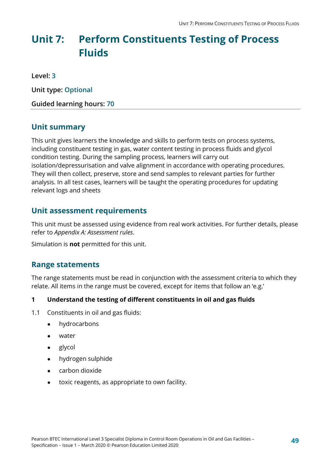# **Unit 7: Perform Constituents Testing of Process Fluids**

**Level: 3**

**Unit type: Optional**

**Guided learning hours: 70** 

## **Unit summary**

This unit gives learners the knowledge and skills to perform tests on process systems, including constituent testing in gas, water content testing in process fluids and glycol condition testing. During the sampling process, learners will carry out isolation/depressurisation and valve alignment in accordance with operating procedures. They will then collect, preserve, store and send samples to relevant parties for further analysis. In all test cases, learners will be taught the operating procedures for updating relevant logs and sheets

## **Unit assessment requirements**

This unit must be assessed using evidence from real work activities. For further details, please refer to *Appendix A: Assessment rules*.

Simulation is **not** permitted for this unit.

## **Range statements**

The range statements must be read in conjunction with the assessment criteria to which they relate. All items in the range must be covered, except for items that follow an 'e.g.'

#### **1 Understand the testing of different constituents in oil and gas fluids**

- 1.1 Constituents in oil and gas fluids:
	- hydrocarbons
	- water
	- glycol
	- hydrogen sulphide
	- carbon dioxide
	- toxic reagents, as appropriate to own facility.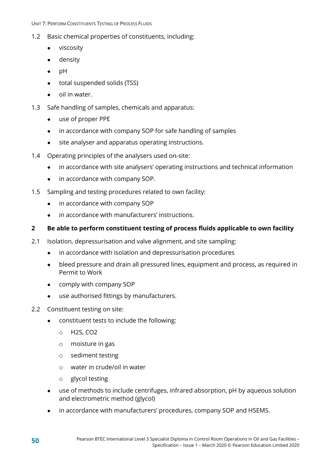- 1.2 Basic chemical properties of constituents, including:
	- viscosity
	- density
	- pH
	- total suspended solids (TSS)
	- oil in water.
- 1.3 Safe handling of samples, chemicals and apparatus:
	- use of proper PPE
	- in accordance with company SOP for safe handling of samples
	- site analyser and apparatus operating instructions.
- 1.4 Operating principles of the analysers used on-site:
	- in accordance with site analysers' operating instructions and technical information
	- in accordance with company SOP.
- 1.5 Sampling and testing procedures related to own facility:
	- in accordance with company SOP
	- in accordance with manufacturers' instructions.

### **2 Be able to perform constituent testing of process fluids applicable to own facility**

- 2.1 Isolation, depressurisation and valve alignment, and site sampling:
	- in accordance with isolation and depressurisation procedures
	- bleed pressure and drain all pressured lines, equipment and process, as required in Permit to Work
	- comply with company SOP
	- use authorised fittings by manufacturers.
- 2.2 Constituent testing on site:
	- constituent tests to include the following:
		- o H2S, CO2
		- o moisture in gas
		- o sediment testing
		- o water in crude/oil in water
		- o glycol testing
	- use of methods to include centrifuges, infrared absorption, pH by aqueous solution and electrometric method (glycol)
	- in accordance with manufacturers' procedures, company SOP and HSEMS.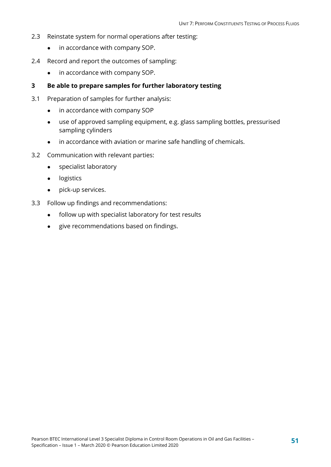- 2.3 Reinstate system for normal operations after testing:
	- in accordance with company SOP.
- 2.4 Record and report the outcomes of sampling:
	- in accordance with company SOP.

#### **3 Be able to prepare samples for further laboratory testing**

- 3.1 Preparation of samples for further analysis:
	- in accordance with company SOP
	- use of approved sampling equipment, e.g. glass sampling bottles, pressurised sampling cylinders
	- in accordance with aviation or marine safe handling of chemicals.
- 3.2 Communication with relevant parties:
	- specialist laboratory
	- logistics
	- pick-up services.
- 3.3 Follow up findings and recommendations:
	- follow up with specialist laboratory for test results
	- give recommendations based on findings.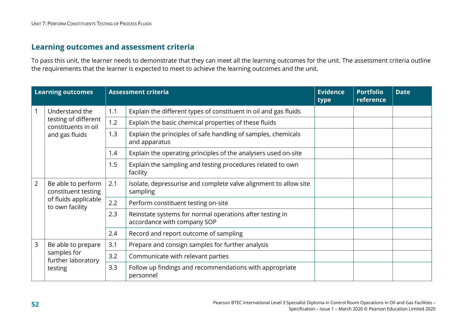| <b>Learning outcomes</b> |                                                                                      |     | <b>Assessment criteria</b>                                                              | <b>Evidence</b><br>type | <b>Portfolio</b><br>reference | <b>Date</b> |
|--------------------------|--------------------------------------------------------------------------------------|-----|-----------------------------------------------------------------------------------------|-------------------------|-------------------------------|-------------|
|                          | Understand the                                                                       | 1.1 | Explain the different types of constituent in oil and gas fluids                        |                         |                               |             |
|                          | testing of different<br>constituents in oil                                          | 1.2 | Explain the basic chemical properties of these fluids                                   |                         |                               |             |
|                          | and gas fluids                                                                       | 1.3 | Explain the principles of safe handling of samples, chemicals<br>and apparatus          |                         |                               |             |
|                          |                                                                                      | 1.4 | Explain the operating principles of the analysers used on-site                          |                         |                               |             |
|                          |                                                                                      | 1.5 | Explain the sampling and testing procedures related to own<br>facility                  |                         |                               |             |
| $\overline{2}$           | Be able to perform<br>constituent testing<br>of fluids applicable<br>to own facility | 2.1 | Isolate, depressurise and complete valve alignment to allow site<br>sampling            |                         |                               |             |
|                          |                                                                                      | 2.2 | Perform constituent testing on-site                                                     |                         |                               |             |
|                          |                                                                                      | 2.3 | Reinstate systems for normal operations after testing in<br>accordance with company SOP |                         |                               |             |
|                          |                                                                                      | 2.4 | Record and report outcome of sampling                                                   |                         |                               |             |
| 3                        | Be able to prepare                                                                   | 3.1 | Prepare and consign samples for further analysis                                        |                         |                               |             |
|                          | samples for<br>further laboratory                                                    | 3.2 | Communicate with relevant parties                                                       |                         |                               |             |
|                          | testing                                                                              | 3.3 | Follow up findings and recommendations with appropriate<br>personnel                    |                         |                               |             |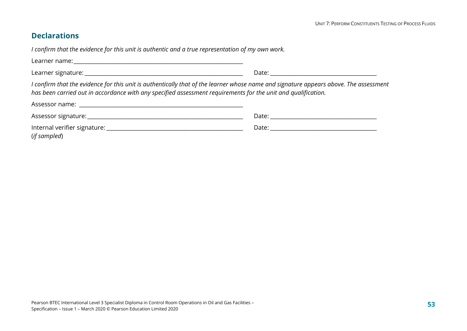## **Declarations**

| I confirm that the evidence for this unit is authentic and a true representation of my own work.                                                                                                                                                       |  |
|--------------------------------------------------------------------------------------------------------------------------------------------------------------------------------------------------------------------------------------------------------|--|
|                                                                                                                                                                                                                                                        |  |
|                                                                                                                                                                                                                                                        |  |
| I confirm that the evidence for this unit is authentically that of the learner whose name and signature appears above. The assessment<br>has been carried out in accordance with any specified assessment requirements for the unit and qualification. |  |
|                                                                                                                                                                                                                                                        |  |
|                                                                                                                                                                                                                                                        |  |
| (if sampled)                                                                                                                                                                                                                                           |  |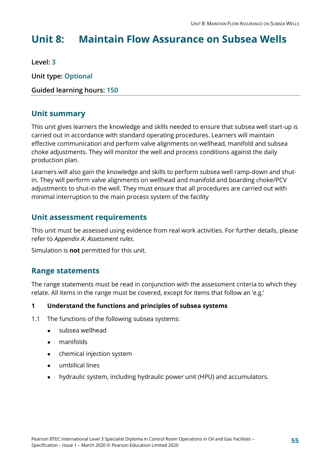# **Unit 8: Maintain Flow Assurance on Subsea Wells**

**Level: 3**

**Unit type: Optional**

## **Guided learning hours: 150**

## **Unit summary**

This unit gives learners the knowledge and skills needed to ensure that subsea well start-up is carried out in accordance with standard operating procedures. Learners will maintain effective communication and perform valve alignments on wellhead, manifold and subsea choke adjustments. They will monitor the well and process conditions against the daily production plan.

Learners will also gain the knowledge and skills to perform subsea well ramp-down and shutin. They will perform valve alignments on wellhead and manifold and boarding choke/PCV adjustments to shut-in the well. They must ensure that all procedures are carried out with minimal interruption to the main process system of the facility

## **Unit assessment requirements**

This unit must be assessed using evidence from real work activities. For further details, please refer to *Appendix A: Assessment rules*.

Simulation is **not** permitted for this unit.

## **Range statements**

The range statements must be read in conjunction with the assessment criteria to which they relate. All items in the range must be covered, except for items that follow an 'e.g.'

### **1 Understand the functions and principles of subsea systems**

1.1 The functions of the following subsea systems:

- subsea wellhead
- manifolds
- chemical injection system
- umbilical lines
- hydraulic system, including hydraulic power unit (HPU) and accumulators.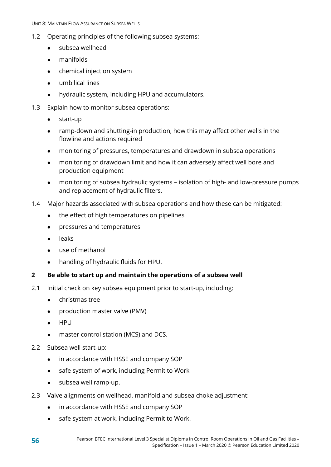- 1.2 Operating principles of the following subsea systems:
	- subsea wellhead
	- manifolds
	- chemical injection system
	- umbilical lines
	- hydraulic system, including HPU and accumulators.
- 1.3 Explain how to monitor subsea operations:
	- start-up
	- ramp-down and shutting-in production, how this may affect other wells in the flowline and actions required
	- monitoring of pressures, temperatures and drawdown in subsea operations
	- monitoring of drawdown limit and how it can adversely affect well bore and production equipment
	- monitoring of subsea hydraulic systems isolation of high- and low-pressure pumps and replacement of hydraulic filters.
- 1.4 Major hazards associated with subsea operations and how these can be mitigated:
	- the effect of high temperatures on pipelines
	- pressures and temperatures
	- leaks
	- use of methanol
	- handling of hydraulic fluids for HPU.

### **2 Be able to start up and maintain the operations of a subsea well**

- 2.1 Initial check on key subsea equipment prior to start-up, including:
	- christmas tree
	- production master valve (PMV)
	- HPU
	- master control station (MCS) and DCS.
- 2.2 Subsea well start-up:
	- in accordance with HSSE and company SOP
	- safe system of work, including Permit to Work
	- subsea well ramp-up.
- 2.3 Valve alignments on wellhead, manifold and subsea choke adjustment:
	- in accordance with HSSE and company SOP
	- safe system at work, including Permit to Work.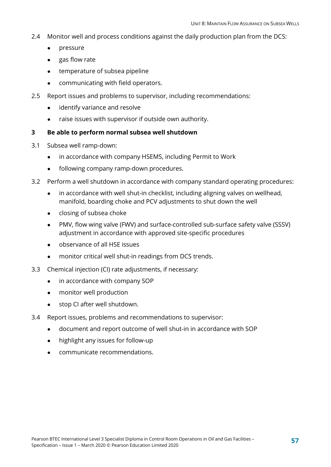- 2.4 Monitor well and process conditions against the daily production plan from the DCS:
	- pressure
	- gas flow rate
	- temperature of subsea pipeline
	- communicating with field operators.
- 2.5 Report issues and problems to supervisor, including recommendations:
	- identify variance and resolve
	- raise issues with supervisor if outside own authority.

### **3 Be able to perform normal subsea well shutdown**

- 3.1 Subsea well ramp-down:
	- in accordance with company HSEMS, including Permit to Work
	- following company ramp-down procedures.
- 3.2 Perform a well shutdown in accordance with company standard operating procedures:
	- in accordance with well shut-in checklist, including aligning valves on wellhead, manifold, boarding choke and PCV adjustments to shut down the well
	- closing of subsea choke
	- PMV, flow wing valve (FWV) and surface-controlled sub-surface safety valve (SSSV) adjustment in accordance with approved site-specific procedures
	- observance of all HSE issues
	- monitor critical well shut-in readings from DCS trends.
- 3.3 Chemical injection (CI) rate adjustments, if necessary:
	- in accordance with company SOP
	- monitor well production
	- stop CI after well shutdown.
- 3.4 Report issues, problems and recommendations to supervisor:
	- document and report outcome of well shut-in in accordance with SOP
	- highlight any issues for follow-up
	- communicate recommendations.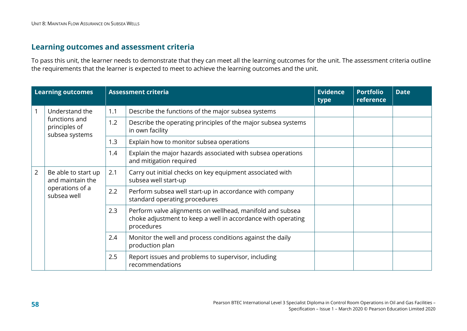| <b>Learning outcomes</b> |                                                                           |     | <b>Assessment criteria</b>                                                                                                              | <b>Evidence</b><br>type | <b>Portfolio</b><br>reference | <b>Date</b> |
|--------------------------|---------------------------------------------------------------------------|-----|-----------------------------------------------------------------------------------------------------------------------------------------|-------------------------|-------------------------------|-------------|
|                          | Understand the                                                            | 1.1 | Describe the functions of the major subsea systems                                                                                      |                         |                               |             |
|                          | functions and<br>principles of<br>subsea systems                          | 1.2 | Describe the operating principles of the major subsea systems<br>in own facility                                                        |                         |                               |             |
|                          |                                                                           | 1.3 | Explain how to monitor subsea operations                                                                                                |                         |                               |             |
|                          |                                                                           | 1.4 | Explain the major hazards associated with subsea operations<br>and mitigation required                                                  |                         |                               |             |
| $\overline{2}$           | Be able to start up<br>and maintain the<br>operations of a<br>subsea well | 2.1 | Carry out initial checks on key equipment associated with<br>subsea well start-up                                                       |                         |                               |             |
|                          |                                                                           | 2.2 | Perform subsea well start-up in accordance with company<br>standard operating procedures                                                |                         |                               |             |
|                          |                                                                           | 2.3 | Perform valve alignments on wellhead, manifold and subsea<br>choke adjustment to keep a well in accordance with operating<br>procedures |                         |                               |             |
|                          |                                                                           | 2.4 | Monitor the well and process conditions against the daily<br>production plan                                                            |                         |                               |             |
|                          |                                                                           | 2.5 | Report issues and problems to supervisor, including<br>recommendations                                                                  |                         |                               |             |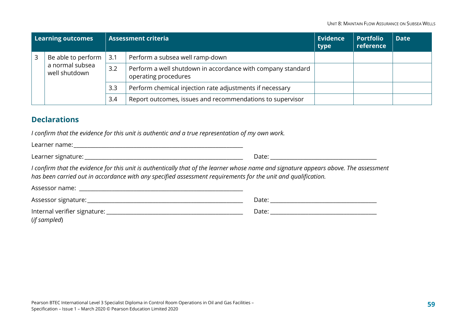| <b>Learning outcomes</b> |                                  |     | <b>Assessment criteria</b>                                                          | <b>Evidence</b><br>type | <b>Portfolio</b><br>reference | <b>Date</b> |
|--------------------------|----------------------------------|-----|-------------------------------------------------------------------------------------|-------------------------|-------------------------------|-------------|
|                          | Be able to perform               | 3.1 | Perform a subsea well ramp-down                                                     |                         |                               |             |
|                          | a normal subsea<br>well shutdown | 3.2 | Perform a well shutdown in accordance with company standard<br>operating procedures |                         |                               |             |
|                          |                                  | 3.3 | Perform chemical injection rate adjustments if necessary                            |                         |                               |             |
|                          |                                  | 3.4 | Report outcomes, issues and recommendations to supervisor                           |                         |                               |             |

## **Declarations**

*I confirm that the evidence for this unit is authentic and a true representation of my own work.*

Learner name:\_\_\_\_\_\_\_\_\_\_\_\_\_\_\_\_\_\_\_\_\_\_\_\_\_\_\_\_\_\_\_\_\_\_\_\_\_\_\_\_\_\_\_\_\_\_\_\_\_\_\_\_\_\_\_\_\_\_\_\_\_\_

Learner signature: et al. 2003. The set of all the set of all the set of all the set of all the set of all the set of all the set of all the set of all the set of all the set of all the set of all the set of all the set of

*I confirm that the evidence for this unit is authentically that of the learner whose name and signature appears above. The assessment has been carried out in accordance with any specified assessment requirements for the unit and qualification.* 

| Assessor name:               |       |
|------------------------------|-------|
| Assessor signature:          | Date: |
| Internal verifier signature: | Date: |
| (if sampled)                 |       |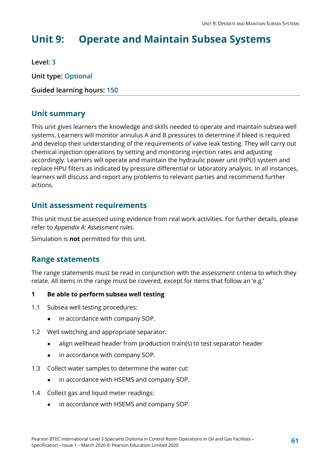# **Unit 9: Operate and Maintain Subsea Systems**

**Level: 3**

**Unit type: Optional**

**Guided learning hours: 150**

## **Unit summary**

This unit gives learners the knowledge and skills needed to operate and maintain subsea well systems. Learners will monitor annulus A and B pressures to determine if bleed is required and develop their understanding of the requirements of valve leak testing. They will carry out chemical injection operations by setting and monitoring injection rates and adjusting accordingly. Learners will operate and maintain the hydraulic power unit (HPU) system and replace HPU filters as indicated by pressure differential or laboratory analysis. In all instances, learners will discuss and report any problems to relevant parties and recommend further actions.

## **Unit assessment requirements**

This unit must be assessed using evidence from real work activities. For further details, please refer to *Appendix A: Assessment rules*.

Simulation is **not** permitted for this unit.

## **Range statements**

The range statements must be read in conjunction with the assessment criteria to which they relate. All items in the range must be covered, except for items that follow an 'e.g.'

### **1 Be able to perform subsea well testing**

- 1.1 Subsea well testing procedures:
	- in accordance with company SOP.
- 1.2 Well switching and appropriate separator:
	- align wellhead header from production train(s) to test separator header
	- in accordance with company SOP.
- 1.3 Collect water samples to determine the water cut:
	- in accordance with HSEMS and company SOP.
- 1.4 Collect gas and liquid meter readings:
	- in accordance with HSEMS and company SOP.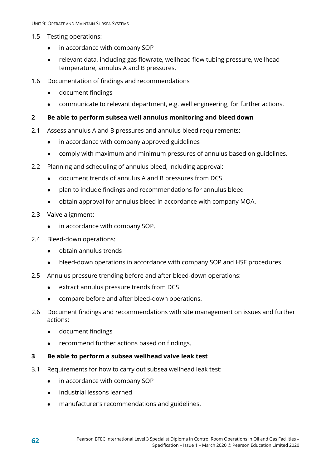- 1.5 Testing operations:
	- in accordance with company SOP
	- relevant data, including gas flowrate, wellhead flow tubing pressure, wellhead temperature, annulus A and B pressures.
- 1.6 Documentation of findings and recommendations
	- document findings
	- communicate to relevant department, e.g. well engineering, for further actions.

#### **2 Be able to perform subsea well annulus monitoring and bleed down**

- 2.1 Assess annulus A and B pressures and annulus bleed requirements:
	- in accordance with company approved guidelines
	- comply with maximum and minimum pressures of annulus based on guidelines.
- 2.2 Planning and scheduling of annulus bleed, including approval:
	- document trends of annulus A and B pressures from DCS
	- plan to include findings and recommendations for annulus bleed
	- obtain approval for annulus bleed in accordance with company MOA.
- 2.3 Valve alignment:
	- in accordance with company SOP.
- 2.4 Bleed-down operations:
	- obtain annulus trends
	- bleed-down operations in accordance with company SOP and HSE procedures.
- 2.5 Annulus pressure trending before and after bleed-down operations:
	- extract annulus pressure trends from DCS
	- compare before and after bleed-down operations.
- 2.6 Document findings and recommendations with site management on issues and further actions:
	- document findings
	- recommend further actions based on findings.

#### **3 Be able to perform a subsea wellhead valve leak test**

- 3.1 Requirements for how to carry out subsea wellhead leak test:
	- in accordance with company SOP
	- industrial lessons learned
	- manufacturer's recommendations and guidelines.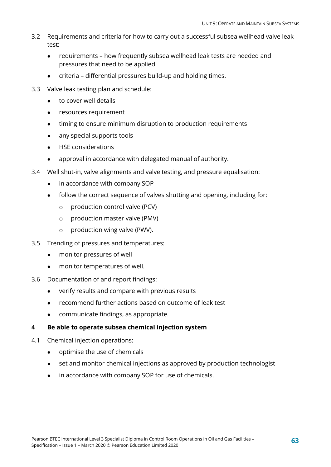- 3.2 Requirements and criteria for how to carry out a successful subsea wellhead valve leak test:
	- requirements how frequently subsea wellhead leak tests are needed and pressures that need to be applied
	- criteria differential pressures build-up and holding times.
- 3.3 Valve leak testing plan and schedule:
	- to cover well details
	- resources requirement
	- timing to ensure minimum disruption to production requirements
	- any special supports tools
	- HSE considerations
	- approval in accordance with delegated manual of authority.
- 3.4 Well shut-in, valve alignments and valve testing, and pressure equalisation:
	- in accordance with company SOP
	- follow the correct sequence of valves shutting and opening, including for:
		- o production control valve (PCV)
		- o production master valve (PMV)
		- o production wing valve (PWV).
- 3.5 Trending of pressures and temperatures:
	- monitor pressures of well
	- monitor temperatures of well.
- 3.6 Documentation of and report findings:
	- verify results and compare with previous results
	- recommend further actions based on outcome of leak test
	- communicate findings, as appropriate.

#### **4 Be able to operate subsea chemical injection system**

- 4.1 Chemical injection operations:
	- optimise the use of chemicals
	- set and monitor chemical injections as approved by production technologist
	- in accordance with company SOP for use of chemicals.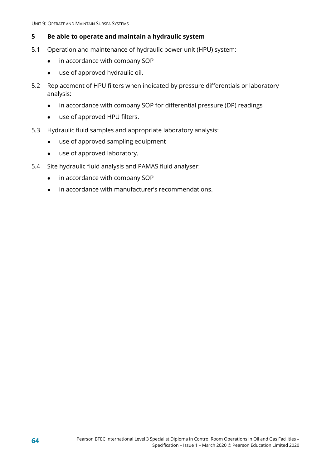#### **5 Be able to operate and maintain a hydraulic system**

- 5.1 Operation and maintenance of hydraulic power unit (HPU) system:
	- in accordance with company SOP
	- use of approved hydraulic oil.
- 5.2 Replacement of HPU filters when indicated by pressure differentials or laboratory analysis:
	- in accordance with company SOP for differential pressure (DP) readings
	- use of approved HPU filters.
- 5.3 Hydraulic fluid samples and appropriate laboratory analysis:
	- use of approved sampling equipment
	- use of approved laboratory.
- 5.4 Site hydraulic fluid analysis and PAMAS fluid analyser:
	- in accordance with company SOP
	- in accordance with manufacturer's recommendations.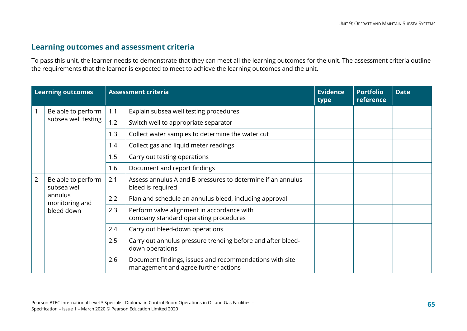| <b>Learning outcomes</b> |                                                                              |     | <b>Assessment criteria</b>                                                                      | <b>Evidence</b><br>type | <b>Portfolio</b><br>reference | <b>Date</b> |
|--------------------------|------------------------------------------------------------------------------|-----|-------------------------------------------------------------------------------------------------|-------------------------|-------------------------------|-------------|
|                          | Be able to perform<br>subsea well testing                                    | 1.1 | Explain subsea well testing procedures                                                          |                         |                               |             |
|                          |                                                                              | 1.2 | Switch well to appropriate separator                                                            |                         |                               |             |
|                          |                                                                              | 1.3 | Collect water samples to determine the water cut                                                |                         |                               |             |
|                          |                                                                              | 1.4 | Collect gas and liquid meter readings                                                           |                         |                               |             |
|                          |                                                                              | 1.5 | Carry out testing operations                                                                    |                         |                               |             |
|                          |                                                                              | 1.6 | Document and report findings                                                                    |                         |                               |             |
| $\overline{2}$           | Be able to perform<br>subsea well<br>annulus<br>monitoring and<br>bleed down | 2.1 | Assess annulus A and B pressures to determine if an annulus<br>bleed is required                |                         |                               |             |
|                          |                                                                              | 2.2 | Plan and schedule an annulus bleed, including approval                                          |                         |                               |             |
|                          |                                                                              | 2.3 | Perform valve alignment in accordance with<br>company standard operating procedures             |                         |                               |             |
|                          |                                                                              | 2.4 | Carry out bleed-down operations                                                                 |                         |                               |             |
|                          |                                                                              | 2.5 | Carry out annulus pressure trending before and after bleed-<br>down operations                  |                         |                               |             |
|                          |                                                                              | 2.6 | Document findings, issues and recommendations with site<br>management and agree further actions |                         |                               |             |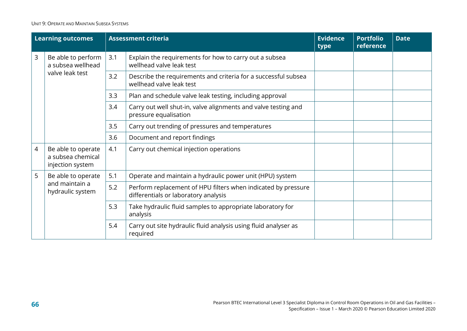#### UNIT 9: OPERATE AND MAINTAIN SUBSEA SYSTEMS

| <b>Learning outcomes</b> |                                                             |     | <b>Assessment criteria</b>                                                                            | <b>Evidence</b><br>type | <b>Portfolio</b><br>reference | <b>Date</b> |
|--------------------------|-------------------------------------------------------------|-----|-------------------------------------------------------------------------------------------------------|-------------------------|-------------------------------|-------------|
| 3                        | Be able to perform<br>a subsea wellhead<br>valve leak test  | 3.1 | Explain the requirements for how to carry out a subsea<br>wellhead valve leak test                    |                         |                               |             |
|                          |                                                             | 3.2 | Describe the requirements and criteria for a successful subsea<br>wellhead valve leak test            |                         |                               |             |
|                          |                                                             | 3.3 | Plan and schedule valve leak testing, including approval                                              |                         |                               |             |
|                          |                                                             | 3.4 | Carry out well shut-in, valve alignments and valve testing and<br>pressure equalisation               |                         |                               |             |
|                          |                                                             | 3.5 | Carry out trending of pressures and temperatures                                                      |                         |                               |             |
|                          |                                                             | 3.6 | Document and report findings                                                                          |                         |                               |             |
| $\overline{4}$           | Be able to operate<br>a subsea chemical<br>injection system | 4.1 | Carry out chemical injection operations                                                               |                         |                               |             |
| 5                        | Be able to operate<br>and maintain a<br>hydraulic system    | 5.1 | Operate and maintain a hydraulic power unit (HPU) system                                              |                         |                               |             |
|                          |                                                             | 5.2 | Perform replacement of HPU filters when indicated by pressure<br>differentials or laboratory analysis |                         |                               |             |
|                          |                                                             | 5.3 | Take hydraulic fluid samples to appropriate laboratory for<br>analysis                                |                         |                               |             |
|                          |                                                             | 5.4 | Carry out site hydraulic fluid analysis using fluid analyser as<br>required                           |                         |                               |             |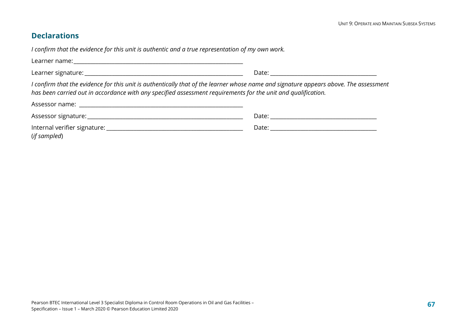## **Declarations**

| I confirm that the evidence for this unit is authentic and a true representation of my own work.                                                                                                                                                       |             |
|--------------------------------------------------------------------------------------------------------------------------------------------------------------------------------------------------------------------------------------------------------|-------------|
|                                                                                                                                                                                                                                                        |             |
|                                                                                                                                                                                                                                                        |             |
| I confirm that the evidence for this unit is authentically that of the learner whose name and signature appears above. The assessment<br>has been carried out in accordance with any specified assessment requirements for the unit and qualification. |             |
|                                                                                                                                                                                                                                                        |             |
|                                                                                                                                                                                                                                                        | Date: Date: |
| (if sampled)                                                                                                                                                                                                                                           |             |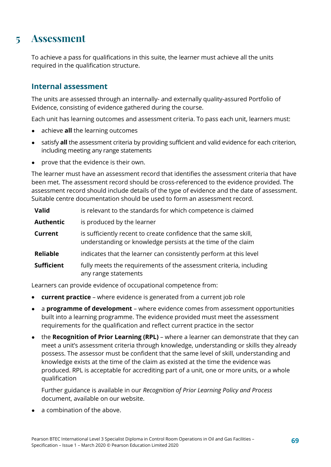# **5 Assessment**

To achieve a pass for qualifications in this suite, the learner must achieve all the units required in the qualification structure.

## **Internal assessment**

The units are assessed through an internally- and externally quality-assured Portfolio of Evidence, consisting of evidence gathered during the course.

Each unit has learning outcomes and assessment criteria. To pass each unit, learners must:

- achieve **all** the learning outcomes
- satisfy **all** the assessment criteria by providing sufficient and valid evidence for each criterion, including meeting any range statements
- prove that the evidence is their own.

The learner must have an assessment record that identifies the assessment criteria that have been met. The assessment record should be cross-referenced to the evidence provided. The assessment record should include details of the type of evidence and the date of assessment. Suitable centre documentation should be used to form an assessment record.

| <b>Valid</b>      | is relevant to the standards for which competence is claimed                                                                     |
|-------------------|----------------------------------------------------------------------------------------------------------------------------------|
| <b>Authentic</b>  | is produced by the learner                                                                                                       |
| Current           | is sufficiently recent to create confidence that the same skill,<br>understanding or knowledge persists at the time of the claim |
| <b>Reliable</b>   | indicates that the learner can consistently perform at this level                                                                |
| <b>Sufficient</b> | fully meets the requirements of the assessment criteria, including<br>any range statements                                       |

Learners can provide evidence of occupational competence from:

- **current practice** where evidence is generated from a current job role
- a **programme of development** where evidence comes from assessment opportunities built into a learning programme. The evidence provided must meet the assessment requirements for the qualification and reflect current practice in the sector
- the **Recognition of Prior Learning (RPL)** where a learner can demonstrate that they can meet a unit's assessment criteria through knowledge, understanding or skills they already possess. The assessor must be confident that the same level of skill, understanding and knowledge exists at the time of the claim as existed at the time the evidence was produced. RPL is acceptable for accrediting part of a unit, one or more units, or a whole qualification

Further guidance is available in our *Recognition of Prior Learning Policy and Process*  document, available on our website.

a combination of the above.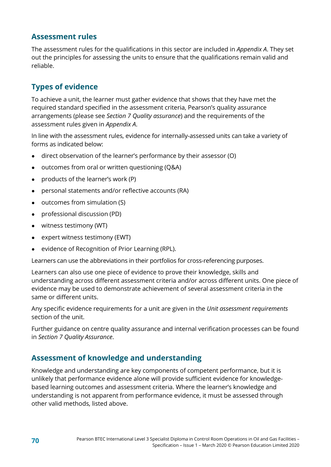## **Assessment rules**

The assessment rules for the qualifications in this sector are included in *Appendix A*. They set out the principles for assessing the units to ensure that the qualifications remain valid and reliable.

# **Types of evidence**

To achieve a unit, the learner must gather evidence that shows that they have met the required standard specified in the assessment criteria, Pearson's quality assurance arrangements (please see *Section 7 Quality assurance*) and the requirements of the assessment rules given in *Appendix A*.

In line with the assessment rules, evidence for internally-assessed units can take a variety of forms as indicated below:

- direct observation of the learner's performance by their assessor (O)
- outcomes from oral or written questioning (Q&A)
- $\bullet$  products of the learner's work (P)
- personal statements and/or reflective accounts (RA)
- outcomes from simulation (S)
- professional discussion (PD)
- witness testimony (WT)
- expert witness testimony (EWT)
- evidence of Recognition of Prior Learning (RPL).

Learners can use the abbreviations in their portfolios for cross-referencing purposes.

Learners can also use one piece of evidence to prove their knowledge, skills and understanding across different assessment criteria and/or across different units. One piece of evidence may be used to demonstrate achievement of several assessment criteria in the same or different units.

Any specific evidence requirements for a unit are given in the *Unit assessment requirements* section of the unit.

Further guidance on centre quality assurance and internal verification processes can be found in *Section 7 Quality Assurance*.

### **Assessment of knowledge and understanding**

Knowledge and understanding are key components of competent performance, but it is unlikely that performance evidence alone will provide sufficient evidence for knowledgebased learning outcomes and assessment criteria. Where the learner's knowledge and understanding is not apparent from performance evidence, it must be assessed through other valid methods, listed above.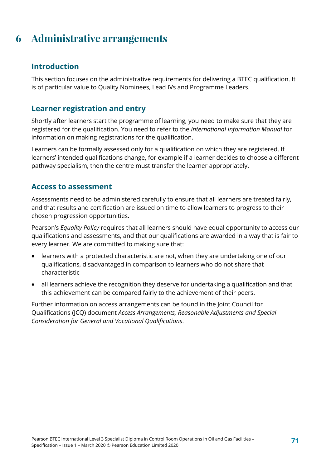# **6 Administrative arrangements**

## **Introduction**

This section focuses on the administrative requirements for delivering a BTEC qualification. It is of particular value to Quality Nominees, Lead IVs and Programme Leaders.

## **Learner registration and entry**

Shortly after learners start the programme of learning, you need to make sure that they are registered for the qualification. You need to refer to the *International Information Manual* for information on making registrations for the qualification.

Learners can be formally assessed only for a qualification on which they are registered. If learners' intended qualifications change, for example if a learner decides to choose a different pathway specialism, then the centre must transfer the learner appropriately.

### **Access to assessment**

Assessments need to be administered carefully to ensure that all learners are treated fairly, and that results and certification are issued on time to allow learners to progress to their chosen progression opportunities.

Pearson's *Equality Policy* requires that all learners should have equal opportunity to access our qualifications and assessments, and that our qualifications are awarded in a way that is fair to every learner. We are committed to making sure that:

- learners with a protected characteristic are not, when they are undertaking one of our qualifications, disadvantaged in comparison to learners who do not share that characteristic
- all learners achieve the recognition they deserve for undertaking a qualification and that this achievement can be compared fairly to the achievement of their peers.

Further information on access arrangements can be found in the Joint Council for Qualifications (JCQ) document *Access Arrangements, Reasonable Adjustments and Special Consideration for General and Vocational Qualifications*.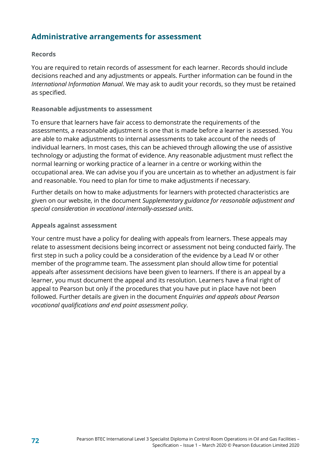## **Administrative arrangements for assessment**

#### **Records**

You are required to retain records of assessment for each learner. Records should include decisions reached and any adjustments or appeals. Further information can be found in the *International Information Manual*. We may ask to audit your records, so they must be retained as specified.

#### **Reasonable adjustments to assessment**

To ensure that learners have fair access to demonstrate the requirements of the assessments, a reasonable adjustment is one that is made before a learner is assessed. You are able to make adjustments to internal assessments to take account of the needs of individual learners. In most cases, this can be achieved through allowing the use of assistive technology or adjusting the format of evidence. Any reasonable adjustment must reflect the normal learning or working practice of a learner in a centre or working within the occupational area. We can advise you if you are uncertain as to whether an adjustment is fair and reasonable. You need to plan for time to make adjustments if necessary.

Further details on how to make adjustments for learners with protected characteristics are given on our website, in the document *Supplementary guidance for reasonable adjustment and special consideration in vocational internally-assessed units*.

#### **Appeals against assessment**

Your centre must have a policy for dealing with appeals from learners. These appeals may relate to assessment decisions being incorrect or assessment not being conducted fairly. The first step in such a policy could be a consideration of the evidence by a Lead IV or other member of the programme team. The assessment plan should allow time for potential appeals after assessment decisions have been given to learners. If there is an appeal by a learner, you must document the appeal and its resolution. Learners have a final right of appeal to Pearson but only if the procedures that you have put in place have not been followed. Further details are given in the document *Enquiries and appeals about Pearson vocational qualifications and end point assessment policy*.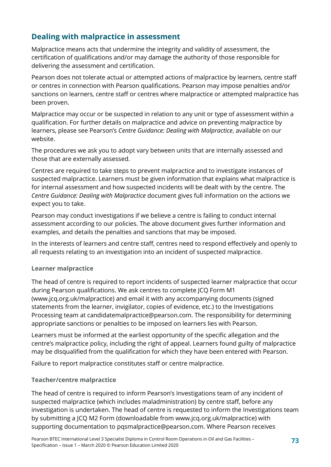# **Dealing with malpractice in assessment**

Malpractice means acts that undermine the integrity and validity of assessment, the certification of qualifications and/or may damage the authority of those responsible for delivering the assessment and certification.

Pearson does not tolerate actual or attempted actions of malpractice by learners, centre staff or centres in connection with Pearson qualifications. Pearson may impose penalties and/or sanctions on learners, centre staff or centres where malpractice or attempted malpractice has been proven.

Malpractice may occur or be suspected in relation to any unit or type of assessment within a qualification. For further details on malpractice and advice on preventing malpractice by learners, please see Pearson's *Centre Guidance: Dealing with Malpractice*, available on our website.

The procedures we ask you to adopt vary between units that are internally assessed and those that are externally assessed.

Centres are required to take steps to prevent malpractice and to investigate instances of suspected malpractice. Learners must be given information that explains what malpractice is for internal assessment and how suspected incidents will be dealt with by the centre. The *Centre Guidance: Dealing with Malpractice* document gives full information on the actions we expect you to take.

Pearson may conduct investigations if we believe a centre is failing to conduct internal assessment according to our policies. The above document gives further information and examples, and details the penalties and sanctions that may be imposed.

In the interests of learners and centre staff, centres need to respond effectively and openly to all requests relating to an investigation into an incident of suspected malpractice.

### **Learner malpractice**

The head of centre is required to report incidents of suspected learner malpractice that occur during Pearson qualifications. We ask centres to complete JCQ Form M1 (www.jcq.org.uk/malpractice) and email it with any accompanying documents (signed statements from the learner, invigilator, copies of evidence, etc.) to the Investigations Processing team at candidatemalpractice@pearson.com. The responsibility for determining appropriate sanctions or penalties to be imposed on learners lies with Pearson.

Learners must be informed at the earliest opportunity of the specific allegation and the centre's malpractice policy, including the right of appeal. Learners found guilty of malpractice may be disqualified from the qualification for which they have been entered with Pearson.

Failure to report malpractice constitutes staff or centre malpractice.

### **Teacher/centre malpractice**

The head of centre is required to inform Pearson's Investigations team of any incident of suspected malpractice (which includes maladministration) by centre staff, before any investigation is undertaken. The head of centre is requested to inform the Investigations team by submitting a JCQ M2 Form (downloadable from www.jcq.org.uk/malpractice) with supporting documentation to pqsmalpractice@pearson.com. Where Pearson receives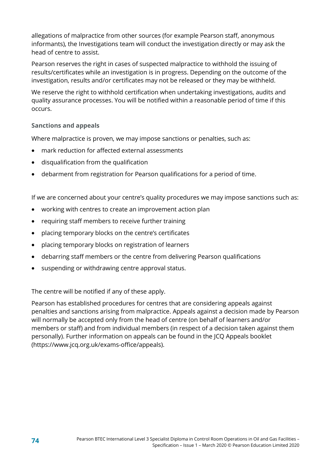allegations of malpractice from other sources (for example Pearson staff, anonymous informants), the Investigations team will conduct the investigation directly or may ask the head of centre to assist.

Pearson reserves the right in cases of suspected malpractice to withhold the issuing of results/certificates while an investigation is in progress. Depending on the outcome of the investigation, results and/or certificates may not be released or they may be withheld.

We reserve the right to withhold certification when undertaking investigations, audits and quality assurance processes. You will be notified within a reasonable period of time if this occurs.

### **Sanctions and appeals**

Where malpractice is proven, we may impose sanctions or penalties, such as:

- mark reduction for affected external assessments
- disqualification from the qualification
- debarment from registration for Pearson qualifications for a period of time.

If we are concerned about your centre's quality procedures we may impose sanctions such as:

- working with centres to create an improvement action plan
- requiring staff members to receive further training
- placing temporary blocks on the centre's certificates
- placing temporary blocks on registration of learners
- debarring staff members or the centre from delivering Pearson qualifications
- suspending or withdrawing centre approval status.

The centre will be notified if any of these apply.

Pearson has established procedures for centres that are considering appeals against penalties and sanctions arising from malpractice. Appeals against a decision made by Pearson will normally be accepted only from the head of centre (on behalf of learners and/or members or staff) and from individual members (in respect of a decision taken against them personally). Further information on appeals can be found in the JCQ Appeals booklet [\(https://www.jcq.org.uk/exams-office/appeals\)](https://www.jcq.org.uk/exams-office/appeals).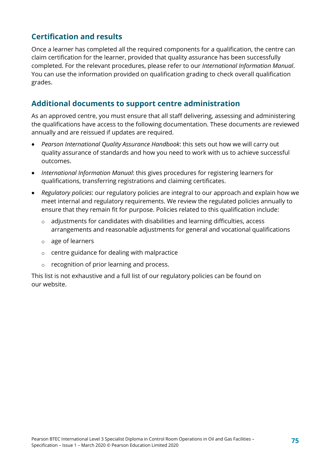## **Certification and results**

Once a learner has completed all the required components for a qualification, the centre can claim certification for the learner, provided that quality assurance has been successfully completed. For the relevant procedures, please refer to our *International Information Manual*. You can use the information provided on qualification grading to check overall qualification grades.

## **Additional documents to support centre administration**

As an approved centre, you must ensure that all staff delivering, assessing and administering the qualifications have access to the following documentation. These documents are reviewed annually and are reissued if updates are required.

- *Pearson International Quality Assurance Handbook*: this sets out how we will carry out quality assurance of standards and how you need to work with us to achieve successful outcomes.
- *International Information Manual*: this gives procedures for registering learners for qualifications, transferring registrations and claiming certificates.
- *Regulatory policies*: our regulatory policies are integral to our approach and explain how we meet internal and regulatory requirements. We review the regulated policies annually to ensure that they remain fit for purpose. Policies related to this qualification include:
	- o adjustments for candidates with disabilities and learning difficulties, access arrangements and reasonable adjustments for general and vocational qualifications
	- o age of learners
	- o centre guidance for dealing with malpractice
	- o recognition of prior learning and process.

This list is not exhaustive and a full list of our regulatory policies can be found on our website.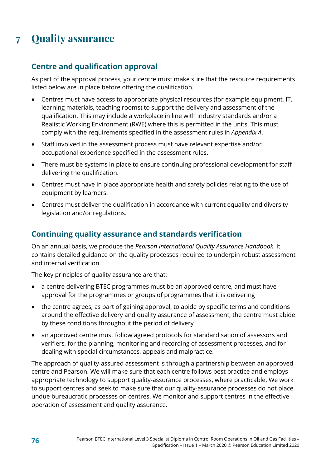# **7 Quality assurance**

## **Centre and qualification approval**

As part of the approval process, your centre must make sure that the resource requirements listed below are in place before offering the qualification.

- Centres must have access to appropriate physical resources (for example equipment, IT, learning materials, teaching rooms) to support the delivery and assessment of the qualification. This may include a workplace in line with industry standards and/or a Realistic Working Environment (RWE) where this is permitted in the units. This must comply with the requirements specified in the assessment rules in *Appendix A*.
- Staff involved in the assessment process must have relevant expertise and/or occupational experience specified in the assessment rules.
- There must be systems in place to ensure continuing professional development for staff delivering the qualification.
- Centres must have in place appropriate health and safety policies relating to the use of equipment by learners.
- Centres must deliver the qualification in accordance with current equality and diversity legislation and/or regulations.

## **Continuing quality assurance and standards verification**

On an annual basis, we produce the *Pearson International Quality Assurance Handbook*. It contains detailed guidance on the quality processes required to underpin robust assessment and internal verification.

The key principles of quality assurance are that:

- a centre delivering BTEC programmes must be an approved centre, and must have approval for the programmes or groups of programmes that it is delivering
- the centre agrees, as part of gaining approval, to abide by specific terms and conditions around the effective delivery and quality assurance of assessment; the centre must abide by these conditions throughout the period of delivery
- an approved centre must follow agreed protocols for standardisation of assessors and verifiers, for the planning, monitoring and recording of assessment processes, and for dealing with special circumstances, appeals and malpractice.

The approach of quality-assured assessment is through a partnership between an approved centre and Pearson. We will make sure that each centre follows best practice and employs appropriate technology to support quality-assurance processes, where practicable. We work to support centres and seek to make sure that our quality-assurance processes do not place undue bureaucratic processes on centres. We monitor and support centres in the effective operation of assessment and quality assurance.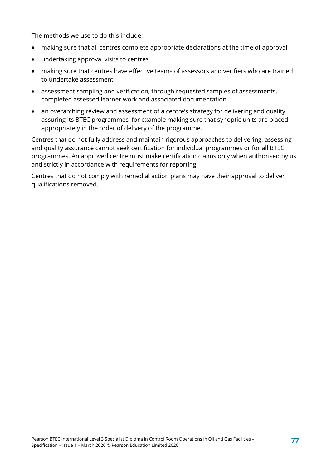The methods we use to do this include:

- making sure that all centres complete appropriate declarations at the time of approval
- undertaking approval visits to centres
- making sure that centres have effective teams of assessors and verifiers who are trained to undertake assessment
- assessment sampling and verification, through requested samples of assessments, completed assessed learner work and associated documentation
- an overarching review and assessment of a centre's strategy for delivering and quality assuring its BTEC programmes, for example making sure that synoptic units are placed appropriately in the order of delivery of the programme.

Centres that do not fully address and maintain rigorous approaches to delivering, assessing and quality assurance cannot seek certification for individual programmes or for all BTEC programmes. An approved centre must make certification claims only when authorised by us and strictly in accordance with requirements for reporting.

Centres that do not comply with remedial action plans may have their approval to deliver qualifications removed.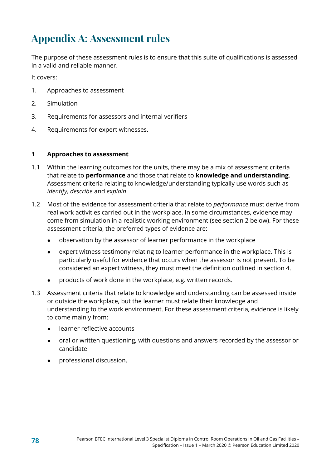# **Appendix A: Assessment rules**

The purpose of these assessment rules is to ensure that this suite of qualifications is assessed in a valid and reliable manner.

It covers:

- 1. Approaches to assessment
- 2. Simulation
- 3. Requirements for assessors and internal verifiers
- 4. Requirements for expert witnesses.

#### **1 Approaches to assessment**

- 1.1 Within the learning outcomes for the units, there may be a mix of assessment criteria that relate to **performance** and those that relate to **knowledge and understanding**. Assessment criteria relating to knowledge/understanding typically use words such as *identify, describe* and *explain*.
- 1.2 Most of the evidence for assessment criteria that relate to *performance* must derive from real work activities carried out in the workplace. In some circumstances, evidence may come from simulation in a realistic working environment (see section 2 below). For these assessment criteria, the preferred types of evidence are:
	- observation by the assessor of learner performance in the workplace
	- expert witness testimony relating to learner performance in the workplace. This is particularly useful for evidence that occurs when the assessor is not present. To be considered an expert witness, they must meet the definition outlined in section 4.
	- products of work done in the workplace, e.g. written records.
- 1.3 Assessment criteria that relate to knowledge and understanding can be assessed inside or outside the workplace, but the learner must relate their knowledge and understanding to the work environment. For these assessment criteria, evidence is likely to come mainly from:
	- learner reflective accounts
	- oral or written questioning, with questions and answers recorded by the assessor or candidate
	- professional discussion.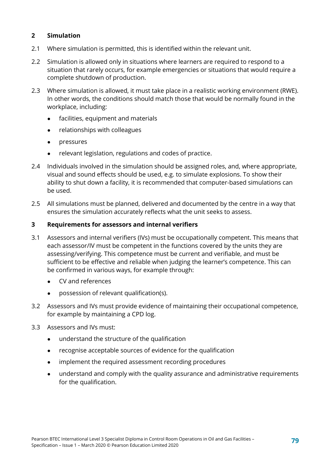#### **2 Simulation**

- 2.1 Where simulation is permitted, this is identified within the relevant unit.
- 2.2 Simulation is allowed only in situations where learners are required to respond to a situation that rarely occurs, for example emergencies or situations that would require a complete shutdown of production.
- 2.3 Where simulation is allowed, it must take place in a realistic working environment (RWE). In other words, the conditions should match those that would be normally found in the workplace, including:
	- facilities, equipment and materials
	- relationships with colleagues
	- pressures
	- relevant legislation, regulations and codes of practice.
- 2.4 Individuals involved in the simulation should be assigned roles, and, where appropriate, visual and sound effects should be used, e.g. to simulate explosions. To show their ability to shut down a facility, it is recommended that computer-based simulations can be used.
- 2.5 All simulations must be planned, delivered and documented by the centre in a way that ensures the simulation accurately reflects what the unit seeks to assess.

#### **3 Requirements for assessors and internal verifiers**

- 3.1 Assessors and internal verifiers (IVs) must be occupationally competent. This means that each assessor/IV must be competent in the functions covered by the units they are assessing/verifying. This competence must be current and verifiable, and must be sufficient to be effective and reliable when judging the learner's competence. This can be confirmed in various ways, for example through:
	- CV and references
	- possession of relevant qualification(s).
- 3.2 Assessors and IVs must provide evidence of maintaining their occupational competence, for example by maintaining a CPD log.
- 3.3 Assessors and IVs must:
	- understand the structure of the qualification
	- recognise acceptable sources of evidence for the qualification
	- implement the required assessment recording procedures
	- understand and comply with the quality assurance and administrative requirements for the qualification.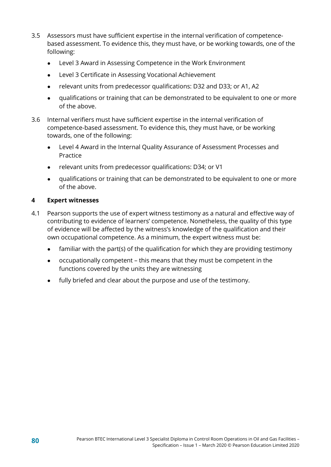- 3.5 Assessors must have sufficient expertise in the internal verification of competencebased assessment. To evidence this, they must have, or be working towards, one of the following:
	- Level 3 Award in Assessing Competence in the Work Environment
	- Level 3 Certificate in Assessing Vocational Achievement
	- relevant units from predecessor qualifications: D32 and D33; or A1, A2
	- qualifications or training that can be demonstrated to be equivalent to one or more of the above.
- 3.6 Internal verifiers must have sufficient expertise in the internal verification of competence-based assessment. To evidence this, they must have, or be working towards, one of the following:
	- Level 4 Award in the Internal Quality Assurance of Assessment Processes and Practice
	- relevant units from predecessor qualifications: D34; or V1
	- qualifications or training that can be demonstrated to be equivalent to one or more of the above.

#### **4 Expert witnesses**

- 4.1 Pearson supports the use of expert witness testimony as a natural and effective way of contributing to evidence of learners' competence. Nonetheless, the quality of this type of evidence will be affected by the witness's knowledge of the qualification and their own occupational competence. As a minimum, the expert witness must be:
	- familiar with the part(s) of the qualification for which they are providing testimony
	- occupationally competent this means that they must be competent in the functions covered by the units they are witnessing
	- fully briefed and clear about the purpose and use of the testimony.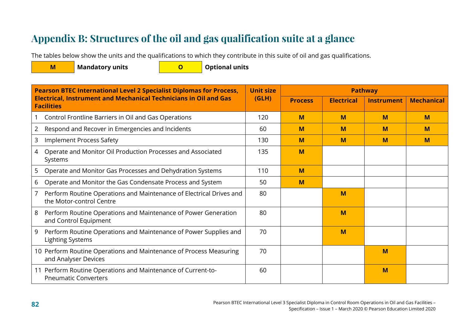# **Appendix B: Structures of the oil and gas qualification suite at a glance**

The tables below show the units and the qualifications to which they contribute in this suite of oil and gas qualifications.



**M Mandatory units O Optional units**

| <b>Pearson BTEC International Level 2 Specialist Diplomas for Process,</b>                        | <b>Unit size</b> | <b>Pathway</b> |                   |                   |                   |
|---------------------------------------------------------------------------------------------------|------------------|----------------|-------------------|-------------------|-------------------|
| <b>Electrical, Instrument and Mechanical Technicians in Oil and Gas</b><br><b>Facilities</b>      | (GLH)            | <b>Process</b> | <b>Electrical</b> | <b>Instrument</b> | <b>Mechanical</b> |
| Control Frontline Barriers in Oil and Gas Operations                                              | 120              | M              | M                 | M                 | M                 |
| Respond and Recover in Emergencies and Incidents<br>$\mathbf{2}$                                  | 60               | M              | M                 | M                 | M                 |
| <b>Implement Process Safety</b><br>3                                                              | 130              | M              | M                 | M                 | M                 |
| Operate and Monitor Oil Production Processes and Associated<br>$\overline{4}$<br>Systems          | 135              | M              |                   |                   |                   |
| Operate and Monitor Gas Processes and Dehydration Systems<br>5                                    | 110              | M              |                   |                   |                   |
| Operate and Monitor the Gas Condensate Process and System<br>6                                    | 50               | M              |                   |                   |                   |
| Perform Routine Operations and Maintenance of Electrical Drives and<br>the Motor-control Centre   | 80               |                | M                 |                   |                   |
| Perform Routine Operations and Maintenance of Power Generation<br>8<br>and Control Equipment      | 80               |                | M                 |                   |                   |
| Perform Routine Operations and Maintenance of Power Supplies and<br>9.<br><b>Lighting Systems</b> | 70               |                | M                 |                   |                   |
| 10 Perform Routine Operations and Maintenance of Process Measuring<br>and Analyser Devices        | 70               |                |                   | M                 |                   |
| 11 Perform Routine Operations and Maintenance of Current-to-<br><b>Pneumatic Converters</b>       | 60               |                |                   | M                 |                   |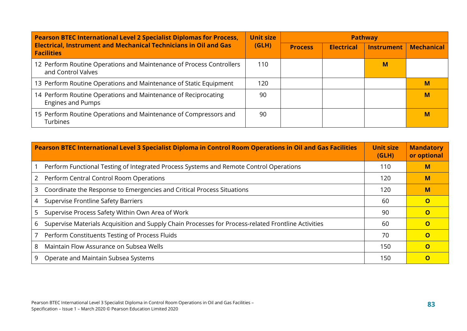| <b>Pearson BTEC International Level 2 Specialist Diplomas for Process,</b>                   | <b>Unit size</b> | <b>Pathway</b> |                   |                   |                   |
|----------------------------------------------------------------------------------------------|------------------|----------------|-------------------|-------------------|-------------------|
| <b>Electrical, Instrument and Mechanical Technicians in Oil and Gas</b><br><b>Facilities</b> | (GLH)            | <b>Process</b> | <b>Electrical</b> | <b>Instrument</b> | <b>Mechanical</b> |
| 12 Perform Routine Operations and Maintenance of Process Controllers<br>and Control Valves   | 110              |                |                   | M                 |                   |
| 13 Perform Routine Operations and Maintenance of Static Equipment                            | 120              |                |                   |                   | M                 |
| 14 Perform Routine Operations and Maintenance of Reciprocating<br><b>Engines and Pumps</b>   | 90               |                |                   |                   | M                 |
| 15 Perform Routine Operations and Maintenance of Compressors and<br><b>Turbines</b>          | 90               |                |                   |                   | M                 |

| Pearson BTEC International Level 3 Specialist Diploma in Control Room Operations in Oil and Gas Facilities | <b>Unit size</b><br>(GLH) | <b>Mandatory</b><br>or optional |
|------------------------------------------------------------------------------------------------------------|---------------------------|---------------------------------|
| Perform Functional Testing of Integrated Process Systems and Remote Control Operations                     | 110                       | M                               |
| Perform Central Control Room Operations<br>$\mathbf{2}^-$                                                  | 120                       | M                               |
| Coordinate the Response to Emergencies and Critical Process Situations<br>3.                               | 120                       | M                               |
| Supervise Frontline Safety Barriers<br>4                                                                   | 60                        | $\Omega$                        |
| Supervise Process Safety Within Own Area of Work<br>5.                                                     | 90                        | $\mathbf O$                     |
| Supervise Materials Acquisition and Supply Chain Processes for Process-related Frontline Activities<br>6   | 60                        |                                 |
| Perform Constituents Testing of Process Fluids                                                             | 70                        | $\mathbf O$                     |
| Maintain Flow Assurance on Subsea Wells<br>8.                                                              | 150                       | O                               |
| Operate and Maintain Subsea Systems<br>9.                                                                  | 150                       | O                               |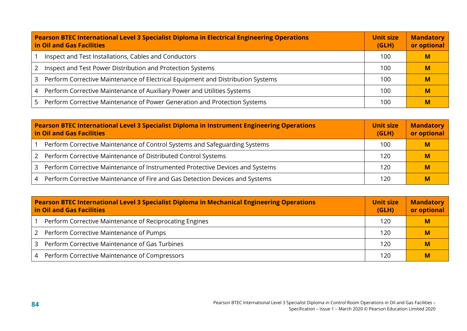| Pearson BTEC International Level 3 Specialist Diploma in Electrical Engineering Operations<br>in Oil and Gas Facilities | <b>Unit size</b><br>(GLH) | <b>Mandatory</b><br>or optional |
|-------------------------------------------------------------------------------------------------------------------------|---------------------------|---------------------------------|
| Inspect and Test Installations, Cables and Conductors                                                                   | 100                       | М                               |
| 2 Inspect and Test Power Distribution and Protection Systems                                                            | 100                       | M                               |
| 3 Perform Corrective Maintenance of Electrical Equipment and Distribution Systems                                       | 100                       | M                               |
| 4 Perform Corrective Maintenance of Auxiliary Power and Utilities Systems                                               | 100                       | M                               |
| 5 Perform Corrective Maintenance of Power Generation and Protection Systems                                             | 100                       | м                               |

| Pearson BTEC International Level 3 Specialist Diploma in Instrument Engineering Operations<br>in Oil and Gas Facilities | <b>Unit size</b><br>(GLH) | <b>Mandatory</b><br>or optional |
|-------------------------------------------------------------------------------------------------------------------------|---------------------------|---------------------------------|
| Perform Corrective Maintenance of Control Systems and Safeguarding Systems                                              | 100                       | М                               |
| 2 Perform Corrective Maintenance of Distributed Control Systems                                                         | 120                       | M                               |
| 3 Perform Corrective Maintenance of Instrumented Protective Devices and Systems                                         | 120                       | M                               |
| 4 Perform Corrective Maintenance of Fire and Gas Detection Devices and Systems                                          | 120                       | M                               |

| <b>Pearson BTEC International Level 3 Specialist Diploma in Mechanical Engineering Operations</b><br>in Oil and Gas Facilities | <b>Unit size</b><br>(GLH) | <b>Mandatory</b><br>or optional |
|--------------------------------------------------------------------------------------------------------------------------------|---------------------------|---------------------------------|
| Perform Corrective Maintenance of Reciprocating Engines                                                                        | 120                       | M                               |
| 2 Perform Corrective Maintenance of Pumps                                                                                      | 120                       | M                               |
| 3 Perform Corrective Maintenance of Gas Turbines                                                                               | 120                       | M                               |
| 4 Perform Corrective Maintenance of Compressors                                                                                | 120                       | M                               |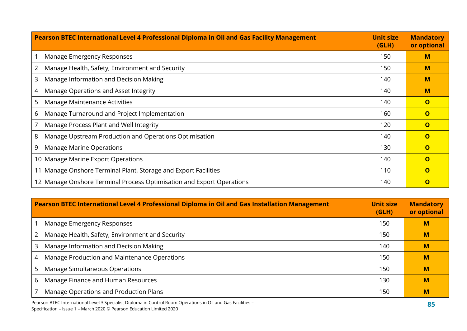| Pearson BTEC International Level 4 Professional Diploma in Oil and Gas Facility Management | <b>Unit size</b><br>(GLH) | <b>Mandatory</b><br>or optional |
|--------------------------------------------------------------------------------------------|---------------------------|---------------------------------|
| Manage Emergency Responses                                                                 | 150                       | M                               |
| Manage Health, Safety, Environment and Security                                            | 150                       | M                               |
| Manage Information and Decision Making<br>3                                                | 140                       | M                               |
| Manage Operations and Asset Integrity<br>4                                                 | 140                       | M                               |
| Manage Maintenance Activities<br>5                                                         | 140                       | $\mathbf 0$                     |
| Manage Turnaround and Project Implementation<br>6                                          | 160                       | $\mathbf 0$                     |
| Manage Process Plant and Well Integrity                                                    | 120                       | $\mathbf{o}$                    |
| Manage Upstream Production and Operations Optimisation<br>8                                | 140                       | $\mathbf 0$                     |
| <b>Manage Marine Operations</b><br>9                                                       | 130                       | $\mathbf 0$                     |
| 10 Manage Marine Export Operations                                                         | 140                       | $\mathbf 0$                     |
| Manage Onshore Terminal Plant, Storage and Export Facilities                               | 110                       | $\mathbf 0$                     |
| 12 Manage Onshore Terminal Process Optimisation and Export Operations                      | 140                       | O                               |

| Pearson BTEC International Level 4 Professional Diploma in Oil and Gas Installation Management | <b>Unit size</b><br>(GLH) | <b>Mandatory</b><br>or optional |
|------------------------------------------------------------------------------------------------|---------------------------|---------------------------------|
| Manage Emergency Responses                                                                     | 150                       | M                               |
| Manage Health, Safety, Environment and Security                                                | 150                       | M                               |
| Manage Information and Decision Making<br>3.                                                   | 140                       | M                               |
| Manage Production and Maintenance Operations<br>4                                              | 150                       | M                               |
| Manage Simultaneous Operations<br>5.                                                           | 150                       | M                               |
| Manage Finance and Human Resources<br>6                                                        | 130                       | M                               |
| Manage Operations and Production Plans                                                         | 150                       | M                               |